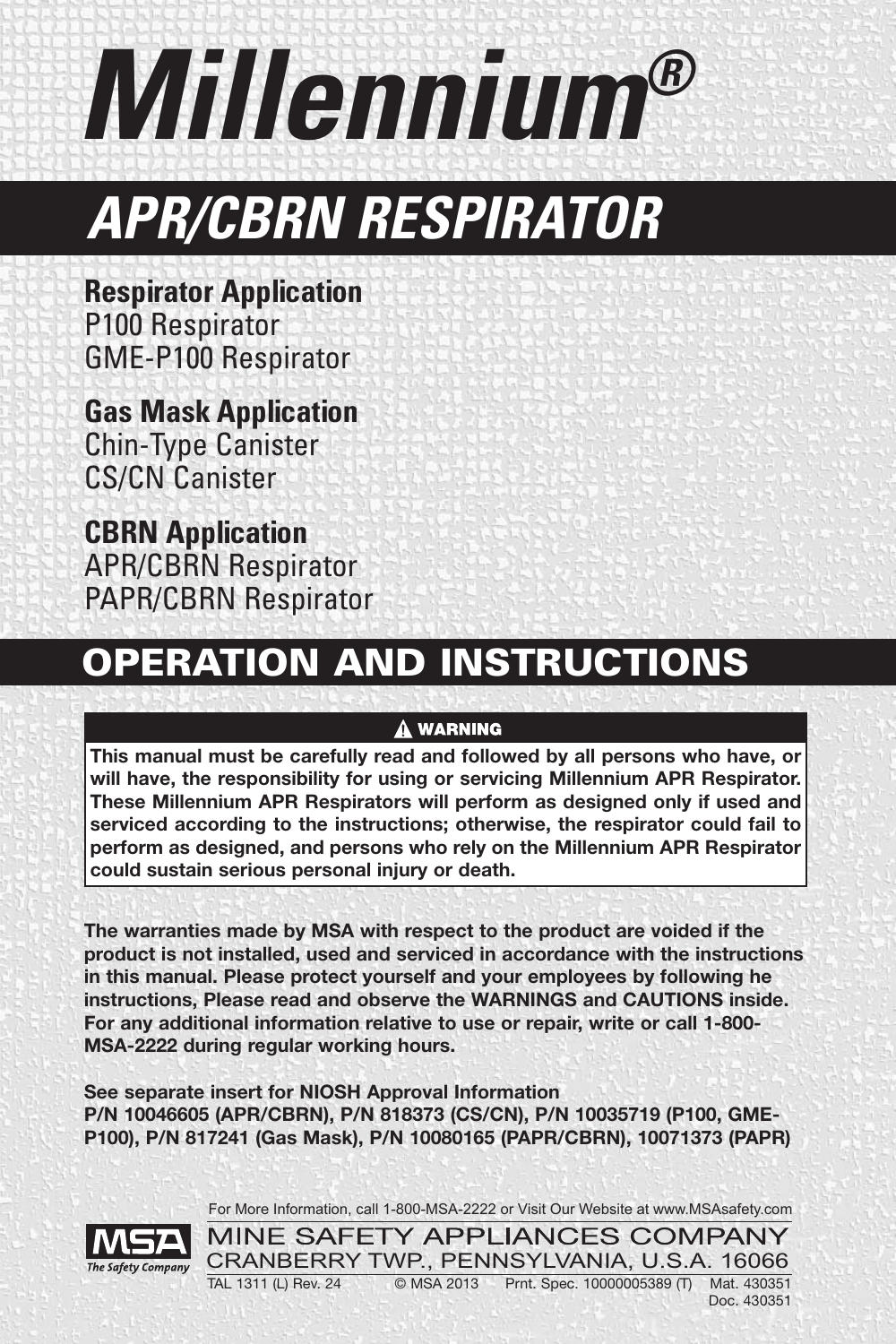*Millennium®*

# *APR/CBRN RESPIRATOR*

**Respirator Application** P100 Respirator GME-P100 Respirator

**Gas Mask Application** Chin-Type Canister CS/CN Canister

**CBRN Application** APR/CBRN Respirator PAPR/CBRN Respirator

# **OPERATION AND INSTRUCTIONS**

## **A WARNING**

**This manual must be carefully read and followed by all persons who have, or will have, the responsibility for using or servicing Millennium APR Respirator. These Millennium APR Respirators will perform as designed only if used and serviced according to the instructions; otherwise, the respirator could fail to perform as designed, and persons who rely on the Millennium APR Respirator could sustain serious personal injury or death.**

**The warranties made by MSA with respect to the product are voided if the product is not installed, used and serviced in accordance with the instructions in this manual. Please protect yourself and your employees by following he instructions, Please read and observe the WARNINGS and CAUTIONS inside. For any additional information relative to use or repair, write or call 1-800- MSA-2222 during regular working hours.**

**See separate insert for NIOSH Approval Information P/N 10046605 (APR/CBRN), P/N 818373 (CS/CN), P/N 10035719 (P100, GME-P100), P/N 817241 (Gas Mask), P/N 10080165 (PAPR/CBRN), 10071373 (PAPR)**

For More Information, call 1-800-MSA-2222 or Visit Our Website at www.MSAsafety.com

MINE SAFETY APPLIANCES COMPANY CRANBERRY TWP., PENNSYLVANIA, U.S.A. 16066 TAL 1311 (L) Rev. 24 © MSA 2013 Prnt. Spec. 10000005389 (T) Mat. 430351

Doc. 430351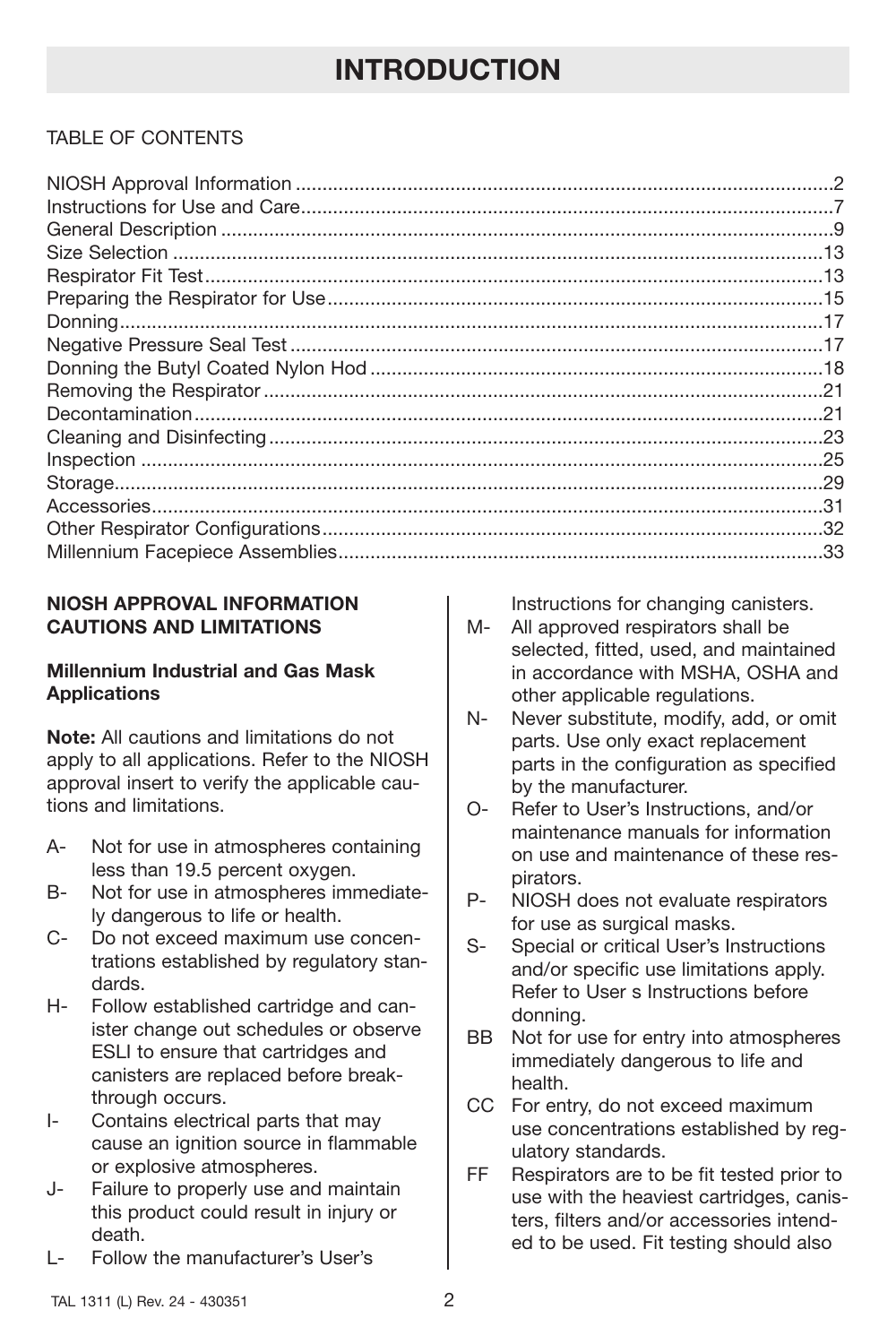## TABLE OF CONTENTS

## **NIOSH APPROVAL INFORMATION CAUTIONS AND LIMITATIONS**

## **Millennium Industrial and Gas Mask Applications**

**Note:** All cautions and limitations do not apply to all applications. Refer to the NIOSH approval insert to verify the applicable cautions and limitations.

- A- Not for use in atmospheres containing less than 19.5 percent oxygen.
- B- Not for use in atmospheres immediately dangerous to life or health.
- C- Do not exceed maximum use concentrations established by regulatory standards.
- H- Follow established cartridge and canister change out schedules or observe ESLI to ensure that cartridges and canisters are replaced before breakthrough occurs.
- I- Contains electrical parts that may cause an ignition source in flammable or explosive atmospheres.
- J- Failure to properly use and maintain this product could result in injury or death.
- L- Follow the manufacturer's User's

Instructions for changing canisters.

- M- All approved respirators shall be selected, fitted, used, and maintained in accordance with MSHA, OSHA and other applicable regulations.
- N- Never substitute, modify, add, or omit parts. Use only exact replacement parts in the configuration as specified by the manufacturer.
- O- Refer to User's Instructions, and/or maintenance manuals for information on use and maintenance of these respirators.
- P- NIOSH does not evaluate respirators for use as surgical masks.
- S- Special or critical User's Instructions and/or specific use limitations apply. Refer to User s Instructions before donning.
- BB Not for use for entry into atmospheres immediately dangerous to life and health.
- CC For entry, do not exceed maximum use concentrations established by regulatory standards.
- FF Respirators are to be fit tested prior to use with the heaviest cartridges, canisters, filters and/or accessories intended to be used. Fit testing should also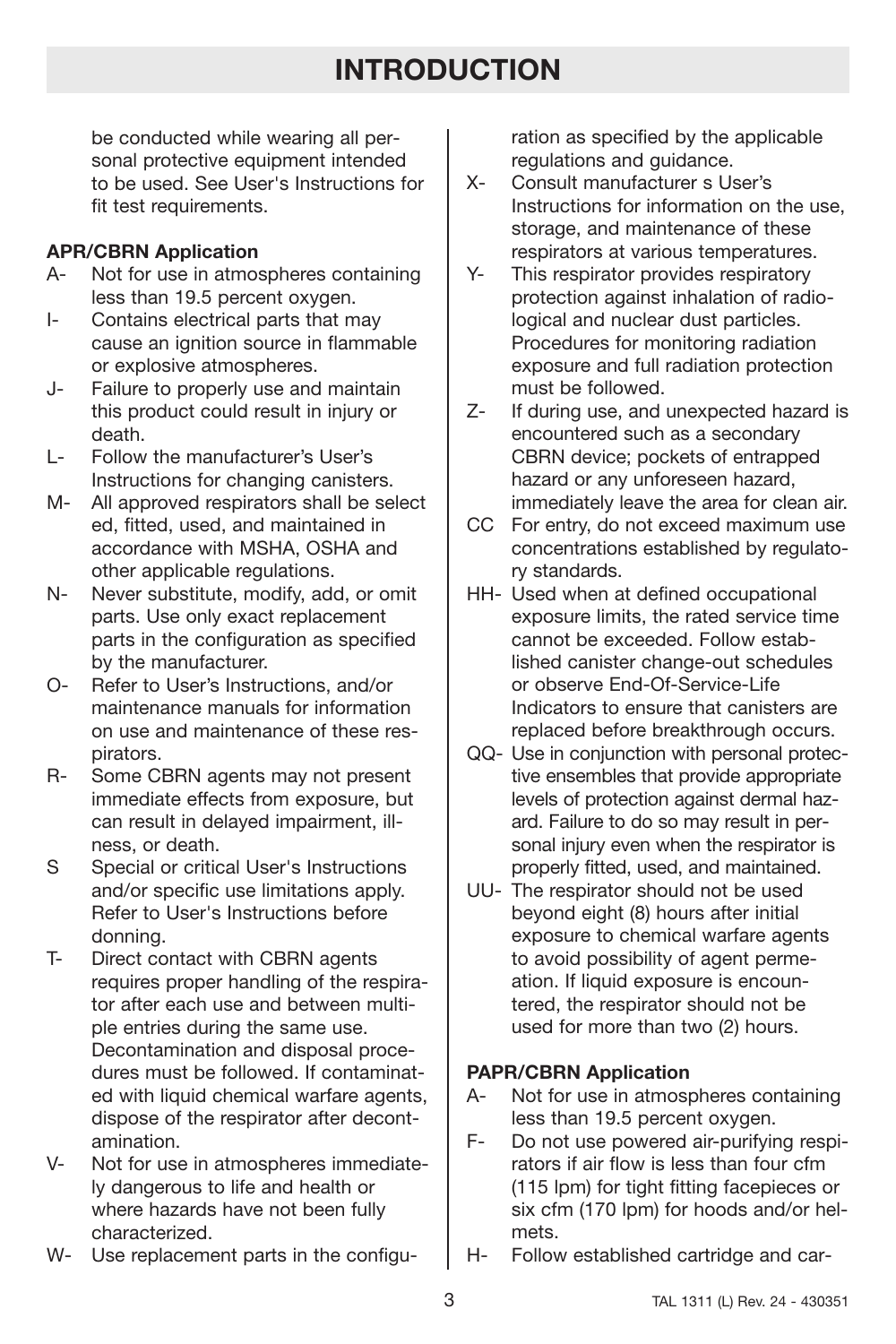be conducted while wearing all personal protective equipment intended to be used. See User's Instructions for fit test requirements.

## **APR/CBRN Application**

- A- Not for use in atmospheres containing less than 19.5 percent oxygen.
- I- Contains electrical parts that may cause an ignition source in flammable or explosive atmospheres.
- J- Failure to properly use and maintain this product could result in injury or death.
- L- Follow the manufacturer's User's Instructions for changing canisters.
- M- All approved respirators shall be select ed, fitted, used, and maintained in accordance with MSHA, OSHA and other applicable regulations.
- N- Never substitute, modify, add, or omit parts. Use only exact replacement parts in the configuration as specified by the manufacturer.
- O- Refer to User's Instructions, and/or maintenance manuals for information on use and maintenance of these respirators.
- R- Some CBRN agents may not present immediate effects from exposure, but can result in delayed impairment, illness, or death.
- S Special or critical User's Instructions and/or specific use limitations apply. Refer to User's Instructions before donning.
- T- Direct contact with CBRN agents requires proper handling of the respirator after each use and between multiple entries during the same use. Decontamination and disposal procedures must be followed. If contaminated with liquid chemical warfare agents, dispose of the respirator after decontamination.
- V- Not for use in atmospheres immediately dangerous to life and health or where hazards have not been fully characterized.
- W- Use replacement parts in the configu-

ration as specified by the applicable regulations and guidance.

- X- Consult manufacturer s User's Instructions for information on the use, storage, and maintenance of these respirators at various temperatures.
- Y- This respirator provides respiratory protection against inhalation of radiological and nuclear dust particles. Procedures for monitoring radiation exposure and full radiation protection must be followed.
- Z- If during use, and unexpected hazard is encountered such as a secondary CBRN device; pockets of entrapped hazard or any unforeseen hazard, immediately leave the area for clean air.
- CC For entry, do not exceed maximum use concentrations established by regulatory standards.
- HH- Used when at defined occupational exposure limits, the rated service time cannot be exceeded. Follow established canister change-out schedules or observe End-Of-Service-Life Indicators to ensure that canisters are replaced before breakthrough occurs.
- QQ- Use in conjunction with personal protective ensembles that provide appropriate levels of protection against dermal hazard. Failure to do so may result in personal injury even when the respirator is properly fitted, used, and maintained.
- UU- The respirator should not be used beyond eight (8) hours after initial exposure to chemical warfare agents to avoid possibility of agent permeation. If liquid exposure is encountered, the respirator should not be used for more than two (2) hours.

## **PAPR/CBRN Application**

- A- Not for use in atmospheres containing less than 19.5 percent oxygen.
- F- Do not use powered air-purifying respirators if air flow is less than four cfm (115 lpm) for tight fitting facepieces or six cfm (170 lpm) for hoods and/or helmets.
- H- Follow established cartridge and car-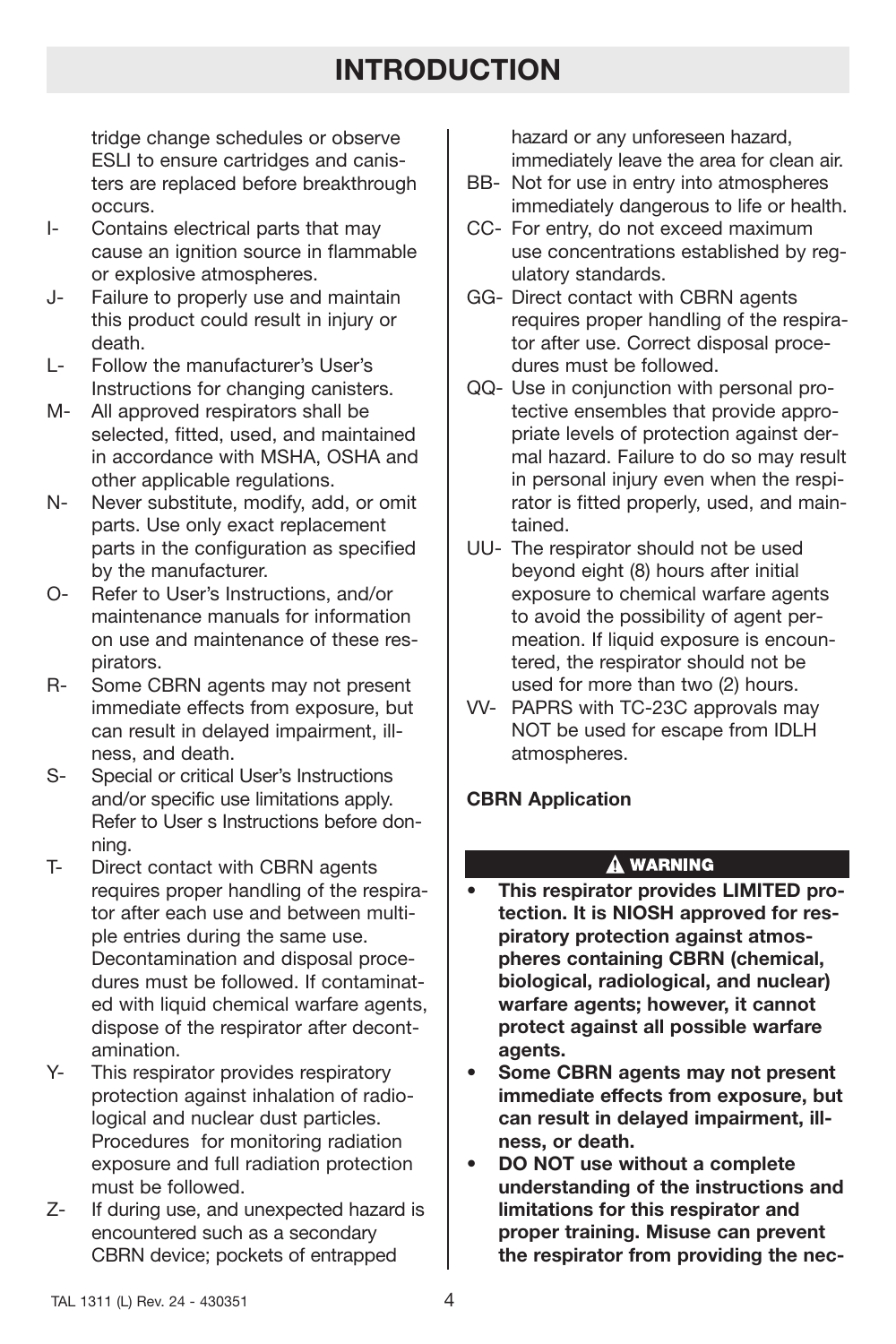tridge change schedules or observe ESLI to ensure cartridges and canisters are replaced before breakthrough occurs.

- I- Contains electrical parts that may cause an ignition source in flammable or explosive atmospheres.
- J- Failure to properly use and maintain this product could result in injury or death.
- L- Follow the manufacturer's User's Instructions for changing canisters.
- M- All approved respirators shall be selected, fitted, used, and maintained in accordance with MSHA, OSHA and other applicable regulations.
- N- Never substitute, modify, add, or omit parts. Use only exact replacement parts in the configuration as specified by the manufacturer.
- O- Refer to User's Instructions, and/or maintenance manuals for information on use and maintenance of these respirators.
- R- Some CBRN agents may not present immediate effects from exposure, but can result in delayed impairment, illness, and death.
- S- Special or critical User's Instructions and/or specific use limitations apply. Refer to User s Instructions before donning.
- T- Direct contact with CBRN agents requires proper handling of the respirator after each use and between multiple entries during the same use. Decontamination and disposal procedures must be followed. If contaminated with liquid chemical warfare agents, dispose of the respirator after decontamination.
- Y- This respirator provides respiratory protection against inhalation of radiological and nuclear dust particles. Procedures for monitoring radiation exposure and full radiation protection must be followed.
- Z- If during use, and unexpected hazard is encountered such as a secondary CBRN device; pockets of entrapped

hazard or any unforeseen hazard, immediately leave the area for clean air.

- BB- Not for use in entry into atmospheres immediately dangerous to life or health.
- CC- For entry, do not exceed maximum use concentrations established by regulatory standards.
- GG- Direct contact with CBRN agents requires proper handling of the respirator after use. Correct disposal procedures must be followed.
- QQ- Use in conjunction with personal protective ensembles that provide appropriate levels of protection against dermal hazard. Failure to do so may result in personal injury even when the respirator is fitted properly, used, and maintained.
- UU- The respirator should not be used beyond eight (8) hours after initial exposure to chemical warfare agents to avoid the possibility of agent permeation. If liquid exposure is encountered, the respirator should not be used for more than two (2) hours.
- VV- PAPRS with TC-23C approvals may NOT be used for escape from IDLH atmospheres.

## **CBRN Application**

## **A WARNING**

- **This respirator provides LIMITED protection. It is NIOSH approved for respiratory protection against atmospheres containing CBRN (chemical, biological, radiological, and nuclear) warfare agents; however, it cannot protect against all possible warfare agents.**
- **Some CBRN agents may not present immediate effects from exposure, but can result in delayed impairment, illness, or death.**
- **DO NOT use without a complete understanding of the instructions and limitations for this respirator and proper training. Misuse can prevent the respirator from providing the nec-**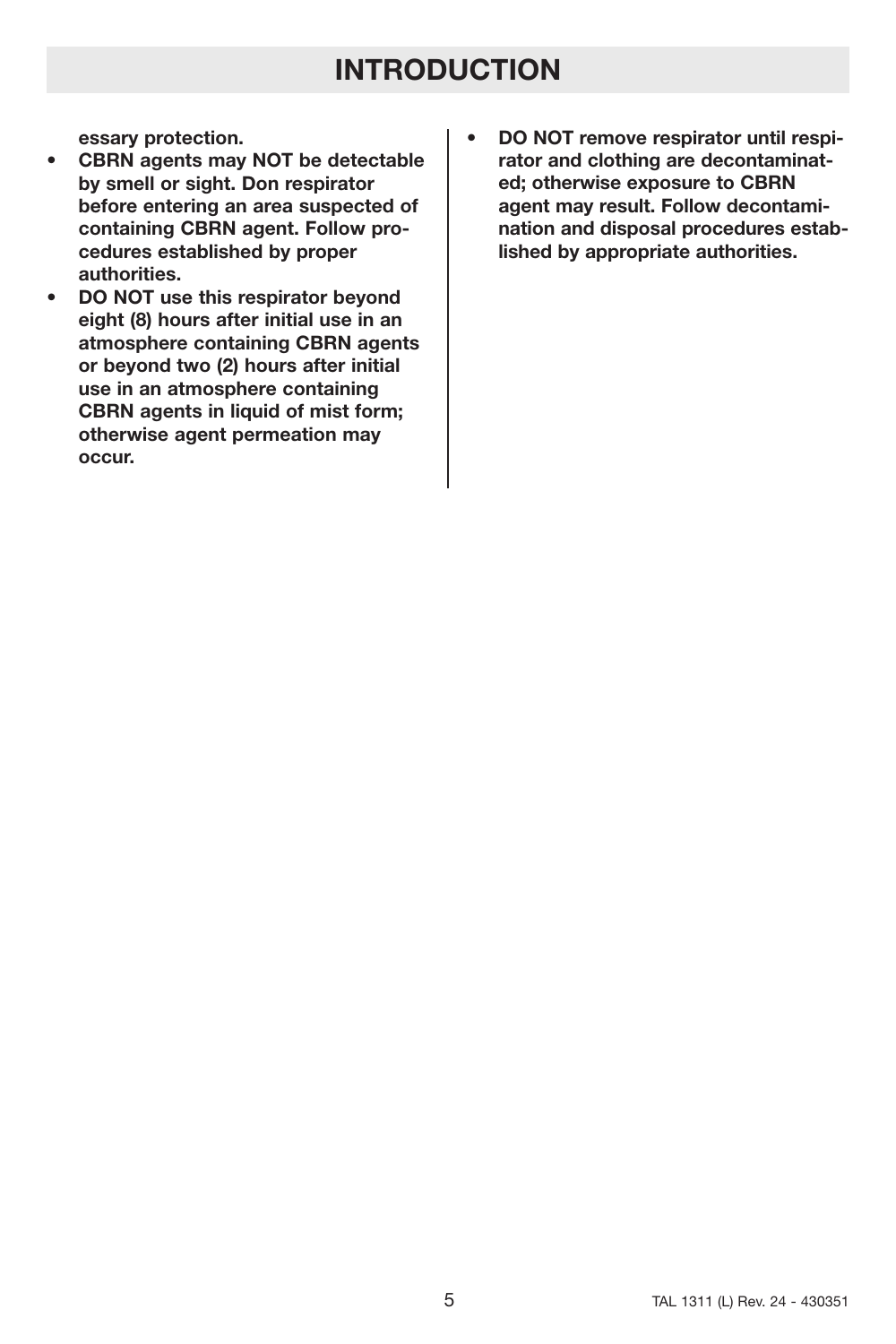**essary protection.**

- **CBRN agents may NOT be detectable by smell or sight. Don respirator before entering an area suspected of containing CBRN agent. Follow procedures established by proper authorities.**
- **DO NOT use this respirator beyond eight (8) hours after initial use in an atmosphere containing CBRN agents or beyond two (2) hours after initial use in an atmosphere containing CBRN agents in liquid of mist form; otherwise agent permeation may occur.**
- **DO NOT remove respirator until respirator and clothing are decontaminated; otherwise exposure to CBRN agent may result. Follow decontamination and disposal procedures established by appropriate authorities.**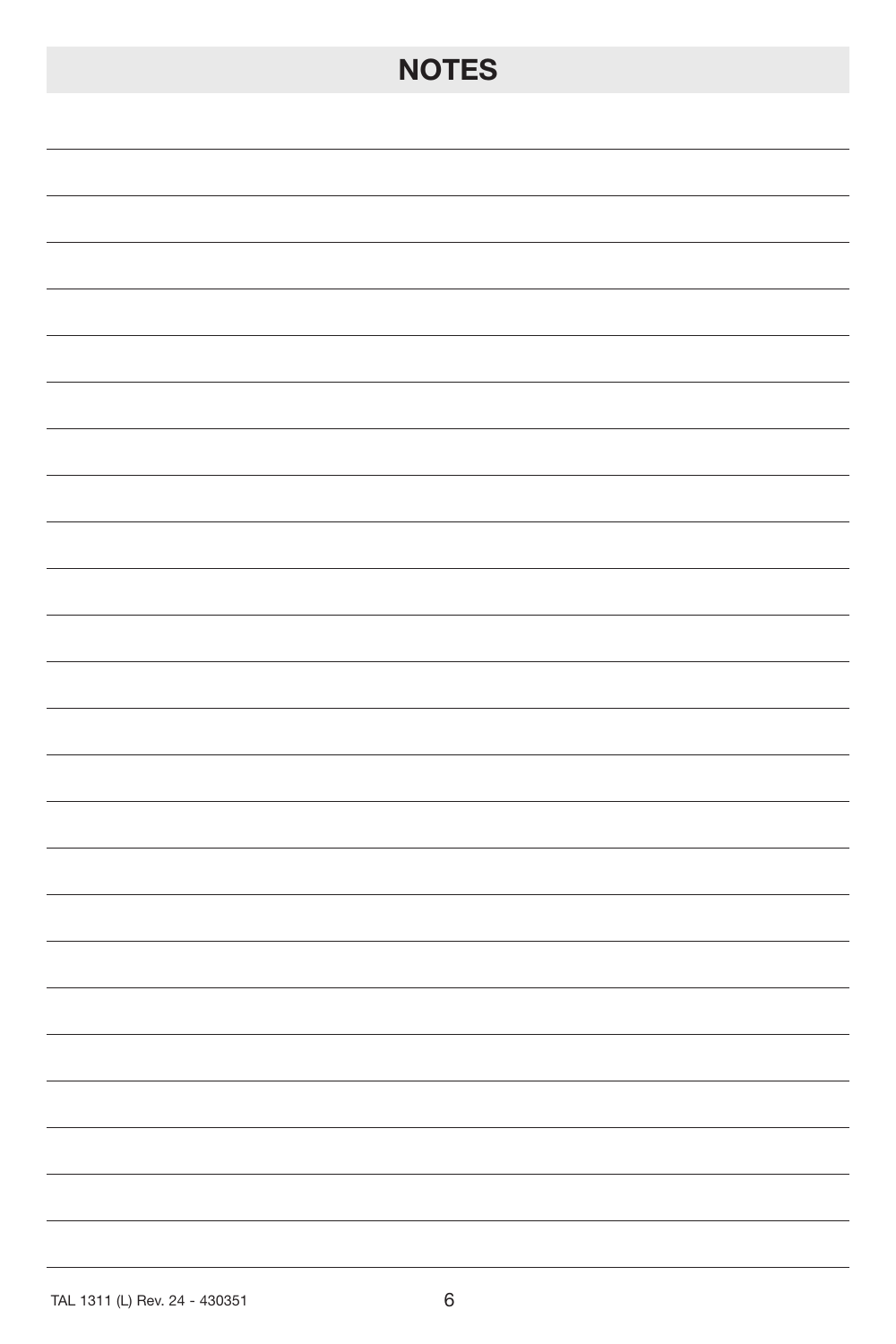# **NOTES**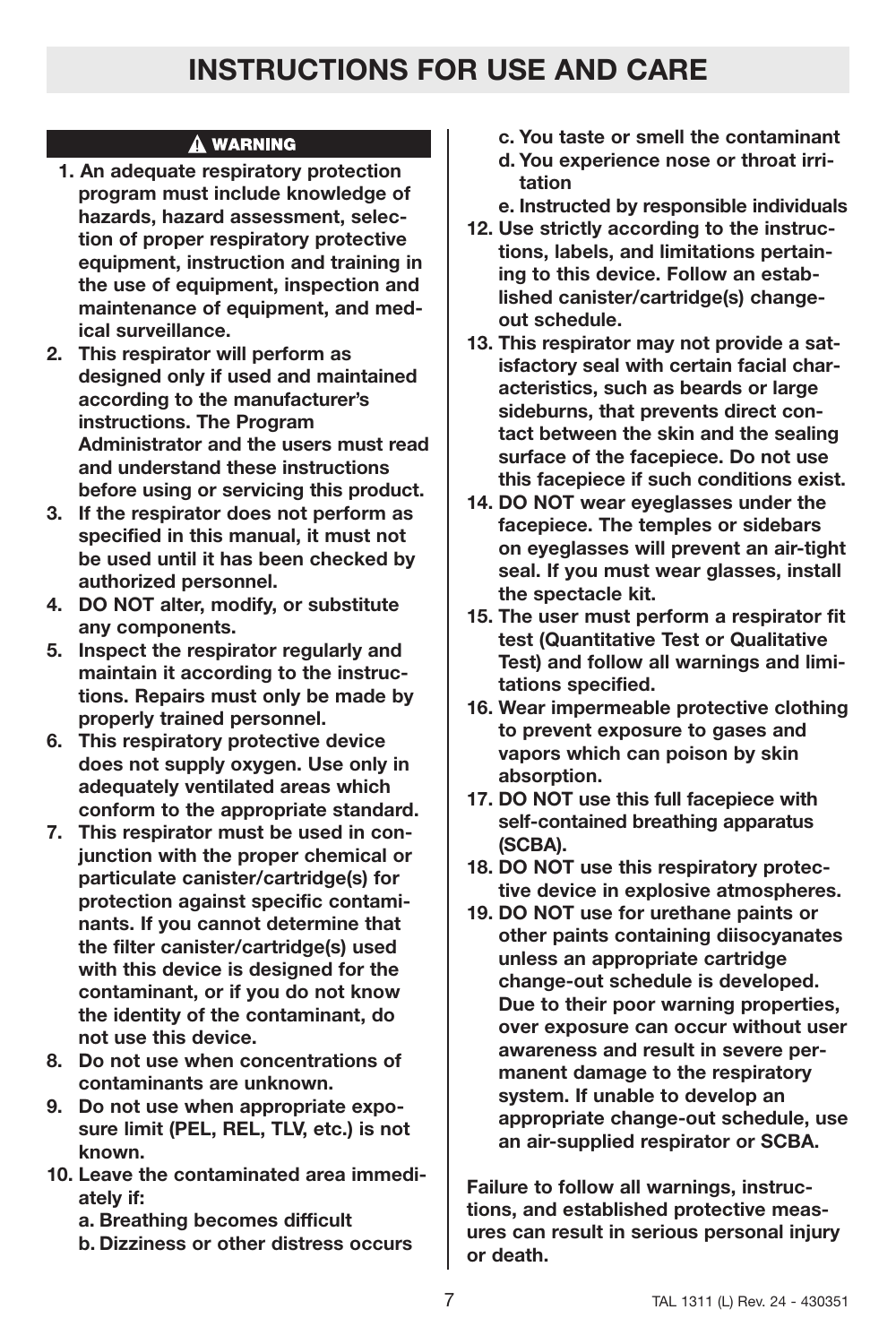## A WARNING

- **1. An adequate respiratory protection program must include knowledge of hazards, hazard assessment, selection of proper respiratory protective equipment, instruction and training in the use of equipment, inspection and maintenance of equipment, and medical surveillance.**
- **2. This respirator will perform as designed only if used and maintained according to the manufacturer's instructions. The Program Administrator and the users must read and understand these instructions before using or servicing this product.**
- **3. If the respirator does not perform as specified in this manual, it must not be used until it has been checked by authorized personnel.**
- **4. DO NOT alter, modify, or substitute any components.**
- **5. Inspect the respirator regularly and maintain it according to the instructions. Repairs must only be made by properly trained personnel.**
- **6. This respiratory protective device does not supply oxygen. Use only in adequately ventilated areas which conform to the appropriate standard.**
- **7. This respirator must be used in conjunction with the proper chemical or particulate canister/cartridge(s) for protection against specific contaminants. If you cannot determine that the filter canister/cartridge(s) used with this device is designed for the contaminant, or if you do not know the identity of the contaminant, do not use this device.**
- **8. Do not use when concentrations of contaminants are unknown.**
- **9. Do not use when appropriate exposure limit (PEL, REL, TLV, etc.) is not known.**
- **10. Leave the contaminated area immediately if:**
	- **a. Breathing becomes difficult**
	- **b. Dizziness or other distress occurs**
- **c. You taste or smell the contaminant**
- **d. You experience nose or throat irritation**
- **e. Instructed by responsible individuals**
- **12. Use strictly according to the instructions, labels, and limitations pertaining to this device. Follow an established canister/cartridge(s) changeout schedule.**
- **13. This respirator may not provide a satisfactory seal with certain facial characteristics, such as beards or large sideburns, that prevents direct contact between the skin and the sealing surface of the facepiece. Do not use this facepiece if such conditions exist.**
- **14. DO NOT wear eyeglasses under the facepiece. The temples or sidebars on eyeglasses will prevent an air-tight seal. If you must wear glasses, install the spectacle kit.**
- **15. The user must perform a respirator fit test (Quantitative Test or Qualitative Test) and follow all warnings and limitations specified.**
- **16. Wear impermeable protective clothing to prevent exposure to gases and vapors which can poison by skin absorption.**
- **17. DO NOT use this full facepiece with self-contained breathing apparatus (SCBA).**
- **18. DO NOT use this respiratory protective device in explosive atmospheres.**
- **19. DO NOT use for urethane paints or other paints containing diisocyanates unless an appropriate cartridge change-out schedule is developed. Due to their poor warning properties, over exposure can occur without user awareness and result in severe permanent damage to the respiratory system. If unable to develop an appropriate change-out schedule, use an air-supplied respirator or SCBA.**

**Failure to follow all warnings, instructions, and established protective measures can result in serious personal injury or death.**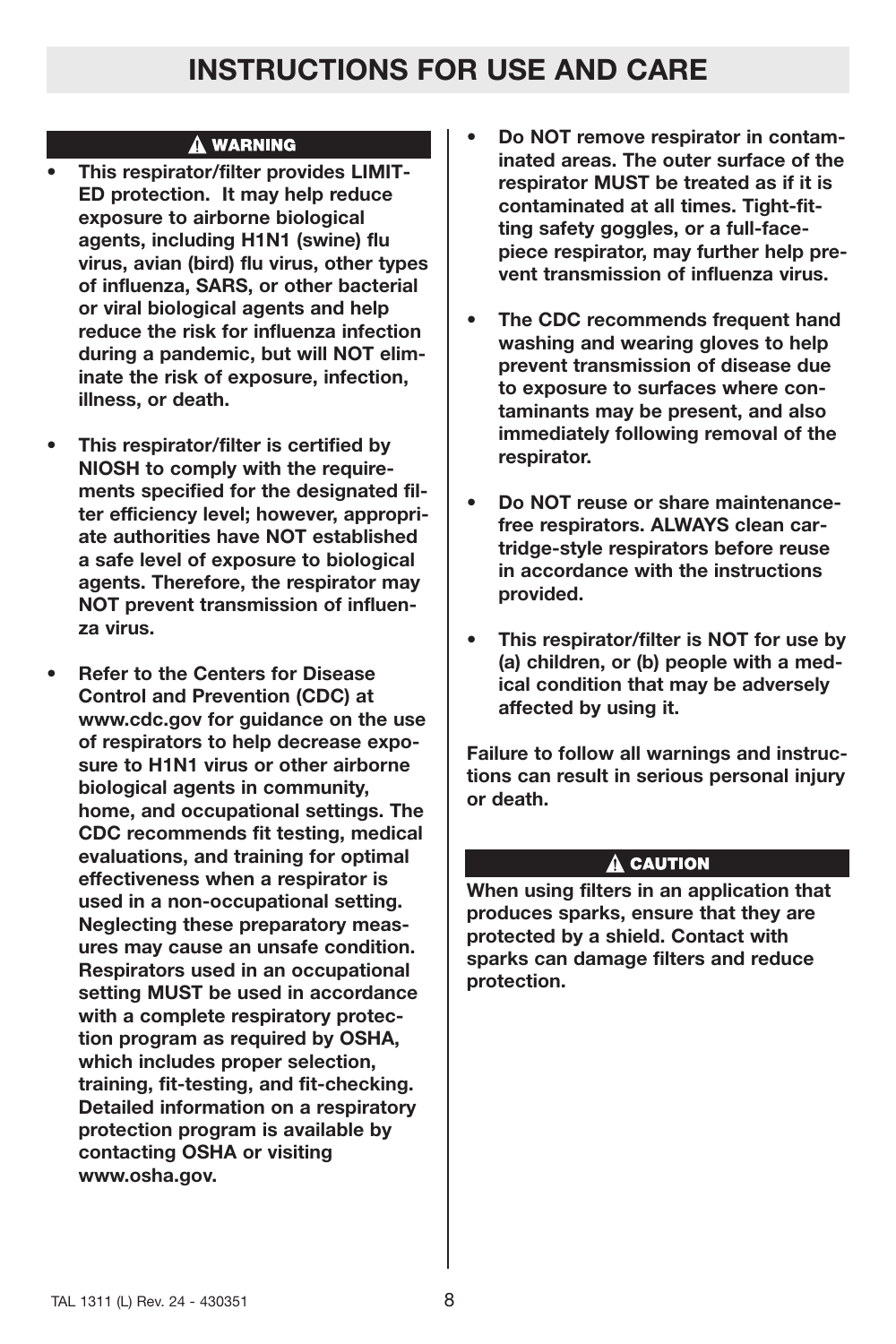## A WARNING

- **This respirator/filter provides LIMIT-ED protection. It may help reduce exposure to airborne biological agents, including H1N1 (swine) flu virus, avian (bird) flu virus, other types of influenza, SARS, or other bacterial or viral biological agents and help reduce the risk for influenza infection during a pandemic, but will NOT eliminate the risk of exposure, infection, illness, or death.**
- **This respirator/filter is certified by NIOSH to comply with the requirements specified for the designated filter efficiency level; however, appropriate authorities have NOT established a safe level of exposure to biological agents. Therefore, the respirator may NOT prevent transmission of influenza virus.**
- **Refer to the Centers for Disease Control and Prevention (CDC) at www.cdc.gov for guidance on the use of respirators to help decrease exposure to H1N1 virus or other airborne biological agents in community, home, and occupational settings. The CDC recommends fit testing, medical evaluations, and training for optimal effectiveness when a respirator is used in a non-occupational setting. Neglecting these preparatory measures may cause an unsafe condition. Respirators used in an occupational setting MUST be used in accordance with a complete respiratory protection program as required by OSHA, which includes proper selection, training, fit-testing, and fit-checking. Detailed information on a respiratory protection program is available by contacting OSHA or visiting www.osha.gov.**
- **Do NOT remove respirator in contaminated areas. The outer surface of the respirator MUST be treated as if it is contaminated at all times. Tight-fitting safety goggles, or a full-facepiece respirator, may further help prevent transmission of influenza virus.**
- **The CDC recommends frequent hand washing and wearing gloves to help prevent transmission of disease due to exposure to surfaces where contaminants may be present, and also immediately following removal of the respirator.**
- **Do NOT reuse or share maintenancefree respirators. ALWAYS clean cartridge-style respirators before reuse in accordance with the instructions provided.**
- **This respirator/filter is NOT for use by (a) children, or (b) people with a medical condition that may be adversely affected by using it.**

**Failure to follow all warnings and instructions can result in serious personal injury or death.**

## A CAUTION

**When using filters in an application that produces sparks, ensure that they are protected by a shield. Contact with sparks can damage filters and reduce protection.**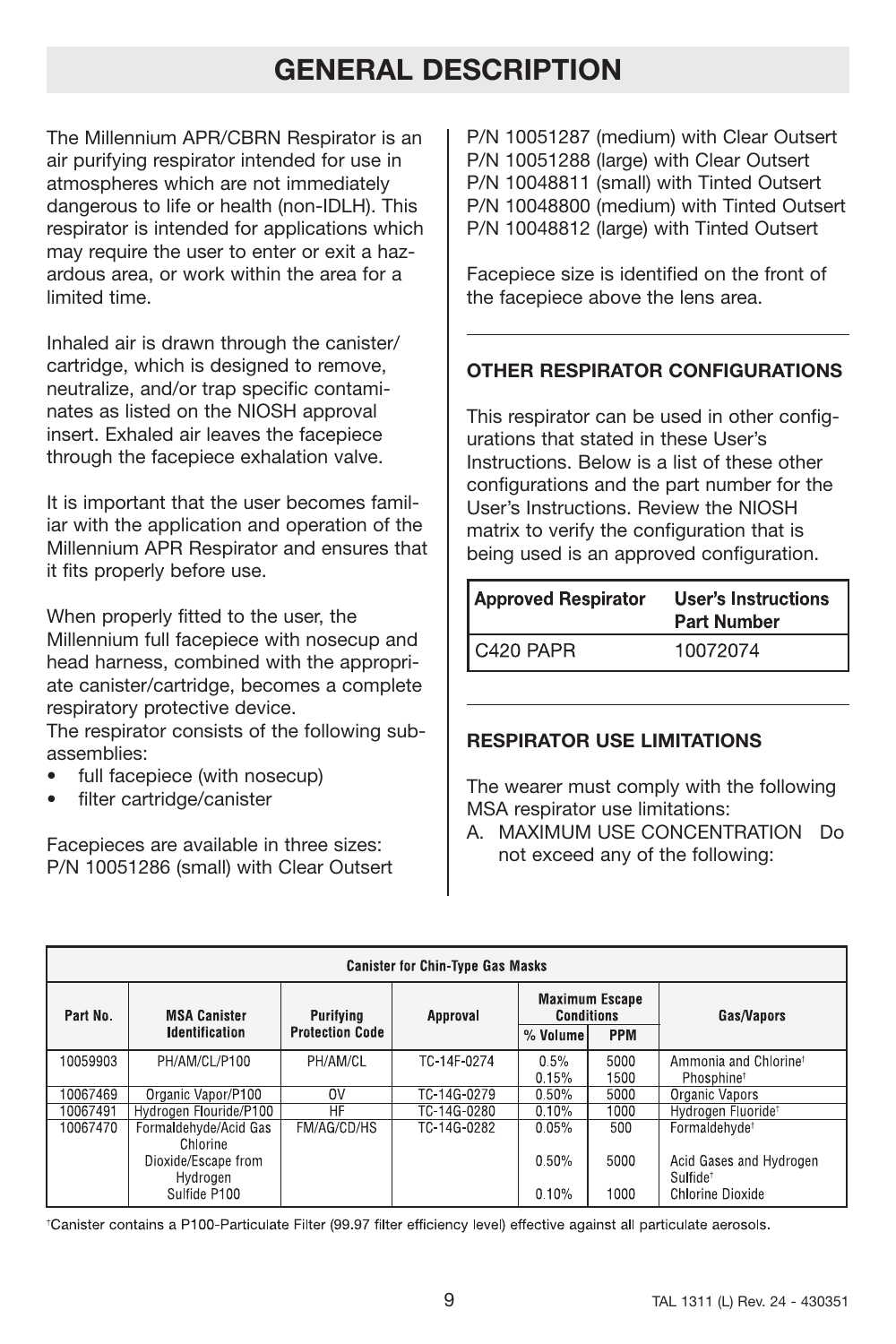# **GENERAL DESCRIPTION**

The Millennium APR/CBRN Respirator is an air purifying respirator intended for use in atmospheres which are not immediately dangerous to life or health (non-IDLH). This respirator is intended for applications which may require the user to enter or exit a hazardous area, or work within the area for a limited time.

Inhaled air is drawn through the canister/ cartridge, which is designed to remove, neutralize, and/or trap specific contaminates as listed on the NIOSH approval insert. Exhaled air leaves the facepiece through the facepiece exhalation valve.

It is important that the user becomes familiar with the application and operation of the Millennium APR Respirator and ensures that it fits properly before use.

When properly fitted to the user, the Millennium full facepiece with nosecup and head harness, combined with the appropriate canister/cartridge, becomes a complete respiratory protective device. The respirator consists of the following sub-

assemblies:

- full facepiece (with nosecup)
- filter cartridge/canister

Facepieces are available in three sizes: P/N 10051286 (small) with Clear Outsert P/N 10051287 (medium) with Clear Outsert P/N 10051288 (large) with Clear Outsert P/N 10048811 (small) with Tinted Outsert P/N 10048800 (medium) with Tinted Outsert P/N 10048812 (large) with Tinted Outsert

Facepiece size is identified on the front of the facepiece above the lens area.

## **OTHER RESPIRATOR CONFIGURATIONS**

This respirator can be used in other configurations that stated in these User's Instructions. Below is a list of these other configurations and the part number for the User's Instructions. Review the NIOSH matrix to verify the configuration that is being used is an approved configuration.

| <b>Approved Respirator</b> | User's Instructions<br><b>Part Number</b> |
|----------------------------|-------------------------------------------|
| C420 PAPR                  | 10072074                                  |

## **RESPIRATOR USE LIMITATIONS**

The wearer must comply with the following MSA respirator use limitations:

A. MAXIMUM USE CONCENTRATION Do not exceed any of the following:

| <b>Canister for Chin-Type Gas Masks</b> |                                              |                                     |             |                                                                      |              |                                                             |
|-----------------------------------------|----------------------------------------------|-------------------------------------|-------------|----------------------------------------------------------------------|--------------|-------------------------------------------------------------|
| Part No.                                | <b>MSA Canister</b><br><b>Identification</b> | Purifying<br><b>Protection Code</b> | Approval    | <b>Maximum Escape</b><br><b>Conditions</b><br><b>PPM</b><br>% Volume |              | Gas/Vapors                                                  |
| 10059903                                | PH/AM/CL/P100                                | PH/AM/CL                            | TC-14F-0274 | 0.5%<br>0.15%                                                        | 5000<br>1500 | Ammonia and Chlorine <sup>†</sup><br>Phosphine <sup>t</sup> |
| 10067469                                | Organic Vapor/P100                           | 0V                                  | TC-14G-0279 | 0.50%                                                                | 5000         | Organic Vapors                                              |
| 10067491                                | Hydrogen Flouride/P100                       | HF                                  | TC-14G-0280 | 0.10%                                                                | 1000         | Hydrogen Fluoride <sup>+</sup>                              |
| 10067470                                | Formaldehyde/Acid Gas<br>Chlorine            | FM/AG/CD/HS                         | TC-14G-0282 | 0.05%                                                                | 500          | Formaldehyde <sup>t</sup>                                   |
|                                         | Dioxide/Escape from<br>Hydrogen              |                                     |             | 0.50%                                                                | 5000         | Acid Gases and Hydrogen<br>Sulfide <sup>t</sup>             |
|                                         | Sulfide P100                                 |                                     |             | 0.10%                                                                | 1000         | Chlorine Dioxide                                            |

\*Canister contains a P100-Particulate Filter (99.97 filter efficiency level) effective against all particulate aerosols.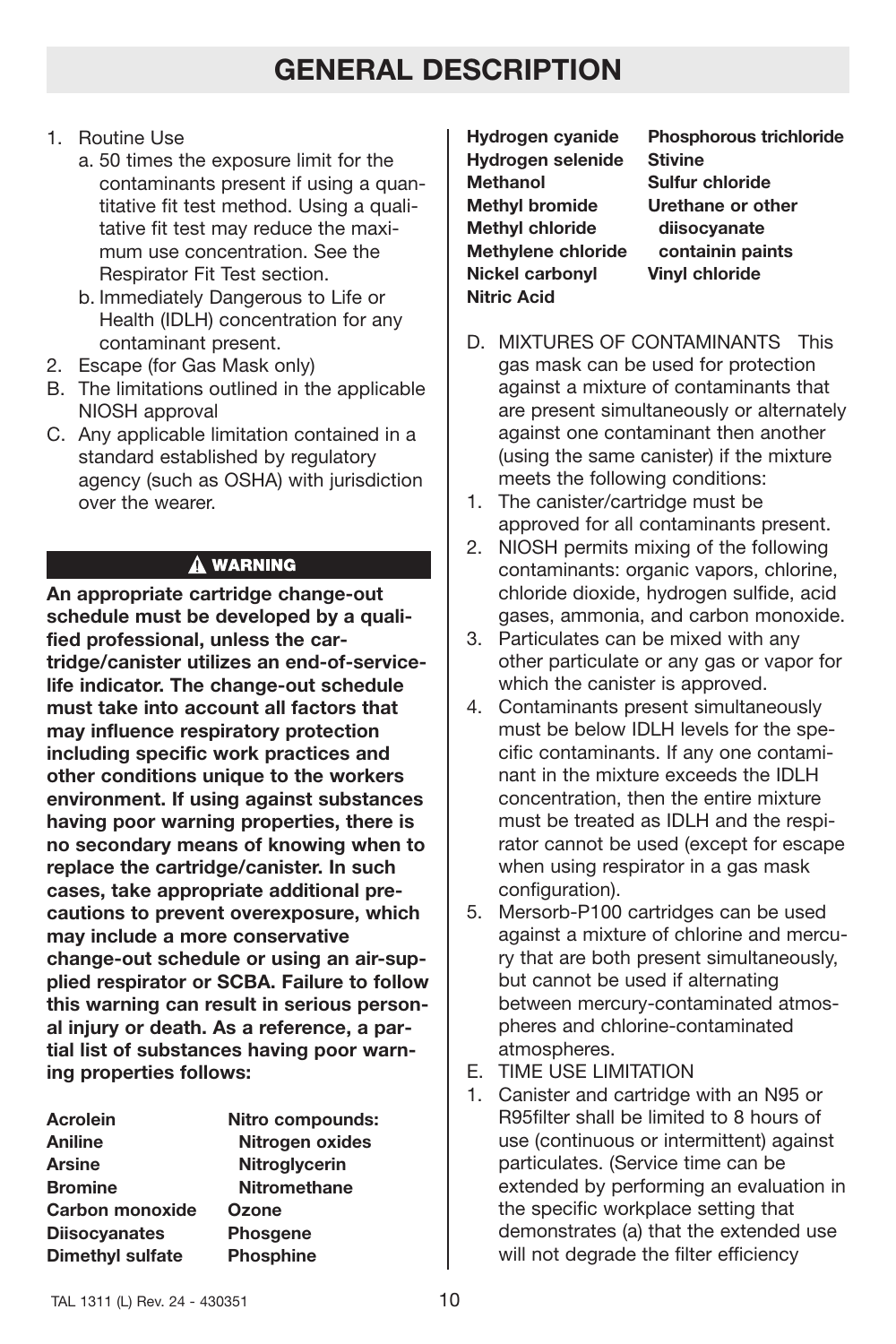# **GENERAL DESCRIPTION**

- 1. Routine Use
	- a. 50 times the exposure limit for the contaminants present if using a quantitative fit test method. Using a qualitative fit test may reduce the maximum use concentration. See the Respirator Fit Test section.
	- b. Immediately Dangerous to Life or Health (IDLH) concentration for any contaminant present.
- 2. Escape (for Gas Mask only)
- B. The limitations outlined in the applicable NIOSH approval
- C. Any applicable limitation contained in a standard established by regulatory agency (such as OSHA) with jurisdiction over the wearer.

## A WARNING

**An appropriate cartridge change-out schedule must be developed by a qualified professional, unless the cartridge/canister utilizes an end-of-servicelife indicator. The change-out schedule must take into account all factors that may influence respiratory protection including specific work practices and other conditions unique to the workers environment. If using against substances having poor warning properties, there is no secondary means of knowing when to replace the cartridge/canister. In such cases, take appropriate additional precautions to prevent overexposure, which may include a more conservative change-out schedule or using an air-supplied respirator or SCBA. Failure to follow this warning can result in serious personal injury or death. As a reference, a partial list of substances having poor warning properties follows:**

| <b>Acrolein</b>         | Nitro compounds:    |
|-------------------------|---------------------|
| Aniline                 | Nitrogen oxides     |
| <b>Arsine</b>           | Nitroglycerin       |
| <b>Bromine</b>          | <b>Nitromethane</b> |
| <b>Carbon monoxide</b>  | Ozone               |
| <b>Diisocyanates</b>    | <b>Phosgene</b>     |
| <b>Dimethyl sulfate</b> | <b>Phosphine</b>    |

**Hydrogen selenide Stivine Methanol Sulfur chloride Methyl bromide Urethane or other Methyl chloride diisocyanate Methylene chloride containin paints Nickel carbonyl Vinyl chloride Nitric Acid**

**Hydrogen cyanide Phosphorous trichloride**

- D. MIXTURES OF CONTAMINANTS This gas mask can be used for protection against a mixture of contaminants that are present simultaneously or alternately against one contaminant then another (using the same canister) if the mixture meets the following conditions:
- 1. The canister/cartridge must be approved for all contaminants present.
- 2. NIOSH permits mixing of the following contaminants: organic vapors, chlorine, chloride dioxide, hydrogen sulfide, acid gases, ammonia, and carbon monoxide.
- 3. Particulates can be mixed with any other particulate or any gas or vapor for which the canister is approved.
- 4. Contaminants present simultaneously must be below IDLH levels for the specific contaminants. If any one contaminant in the mixture exceeds the IDLH concentration, then the entire mixture must be treated as IDLH and the respirator cannot be used (except for escape when using respirator in a gas mask configuration).
- 5. Mersorb-P100 cartridges can be used against a mixture of chlorine and mercury that are both present simultaneously, but cannot be used if alternating between mercury-contaminated atmospheres and chlorine-contaminated atmospheres.
- E. TIME USE LIMITATION
- 1. Canister and cartridge with an N95 or R95filter shall be limited to 8 hours of use (continuous or intermittent) against particulates. (Service time can be extended by performing an evaluation in the specific workplace setting that demonstrates (a) that the extended use will not degrade the filter efficiency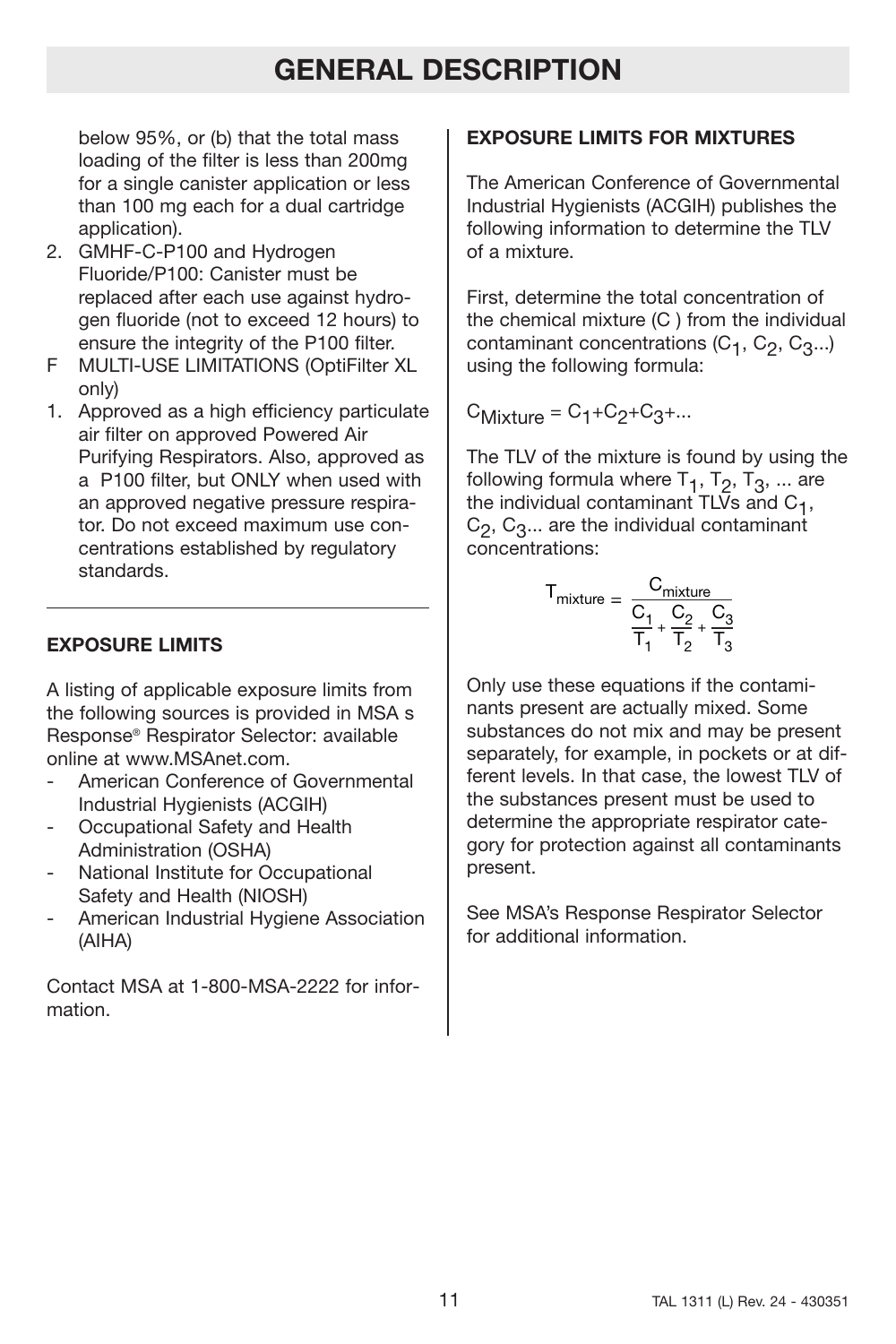# **GENERAL DESCRIPTION**

below 95%, or (b) that the total mass loading of the filter is less than 200mg for a single canister application or less than 100 mg each for a dual cartridge application).

- 2. GMHF-C-P100 and Hydrogen Fluoride/P100: Canister must be replaced after each use against hydrogen fluoride (not to exceed 12 hours) to ensure the integrity of the P100 filter.
- F MULTI-USE LIMITATIONS (OptiFilter XL only)
- 1. Approved as a high efficiency particulate air filter on approved Powered Air Purifying Respirators. Also, approved as a P100 filter, but ONLY when used with an approved negative pressure respirator. Do not exceed maximum use concentrations established by regulatory standards.

## **EXPOSURE LIMITS**

A listing of applicable exposure limits from the following sources is provided in MSA s Response® Respirator Selector: available online at www.MSAnet.com.

- American Conference of Governmental Industrial Hygienists (ACGIH)
- Occupational Safety and Health Administration (OSHA)
- National Institute for Occupational Safety and Health (NIOSH)
- American Industrial Hygiene Association (AIHA)

Contact MSA at 1-800-MSA-2222 for information.

## **EXPOSURE LIMITS FOR MIXTURES**

The American Conference of Governmental Industrial Hygienists (ACGIH) publishes the following information to determine the TLV of a mixture.

First, determine the total concentration of the chemical mixture (C ) from the individual contaminant concentrations  $(C_1, C_2, C_3...)$ using the following formula:

 $C_{Mixture} = C_1 + C_2 + C_3 + ...$ 

The TLV of the mixture is found by using the following formula where  $T_1$ ,  $T_2$ ,  $T_3$ , ... are the individual contaminant  $TL\bar{V}s$  and  $C_1$ ,  $C_2$ ,  $C_3...$  are the individual contaminant concentrations:

$$
T_{mixture} = \frac{C_{mixture}}{\frac{C_1}{T_1} + \frac{C_2}{T_2} + \frac{C_3}{T_3}}
$$

Only use these equations if the contaminants present are actually mixed. Some substances do not mix and may be present separately, for example, in pockets or at different levels. In that case, the lowest TLV of the substances present must be used to determine the appropriate respirator category for protection against all contaminants present.

See MSA's Response Respirator Selector for additional information.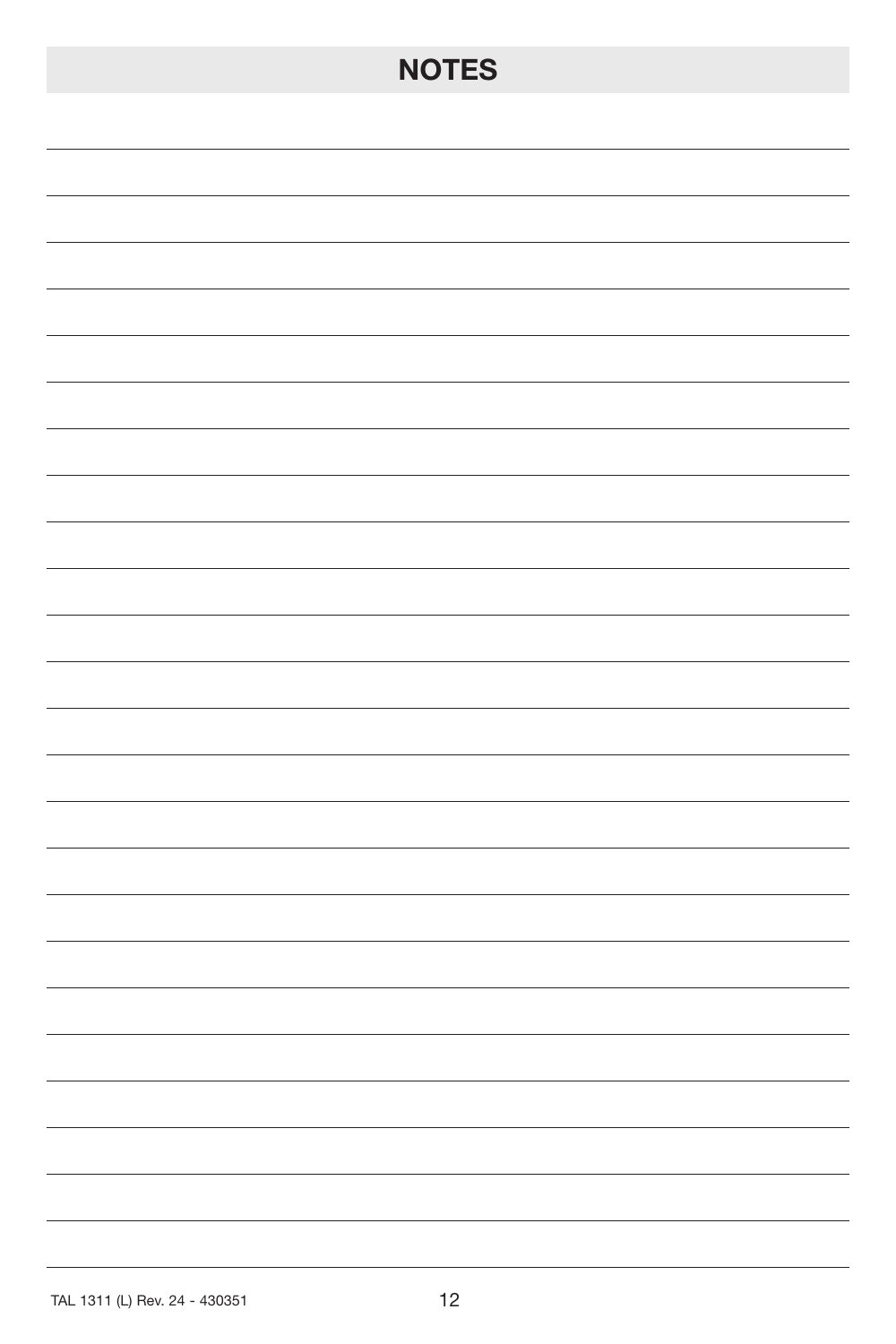# **NOTES**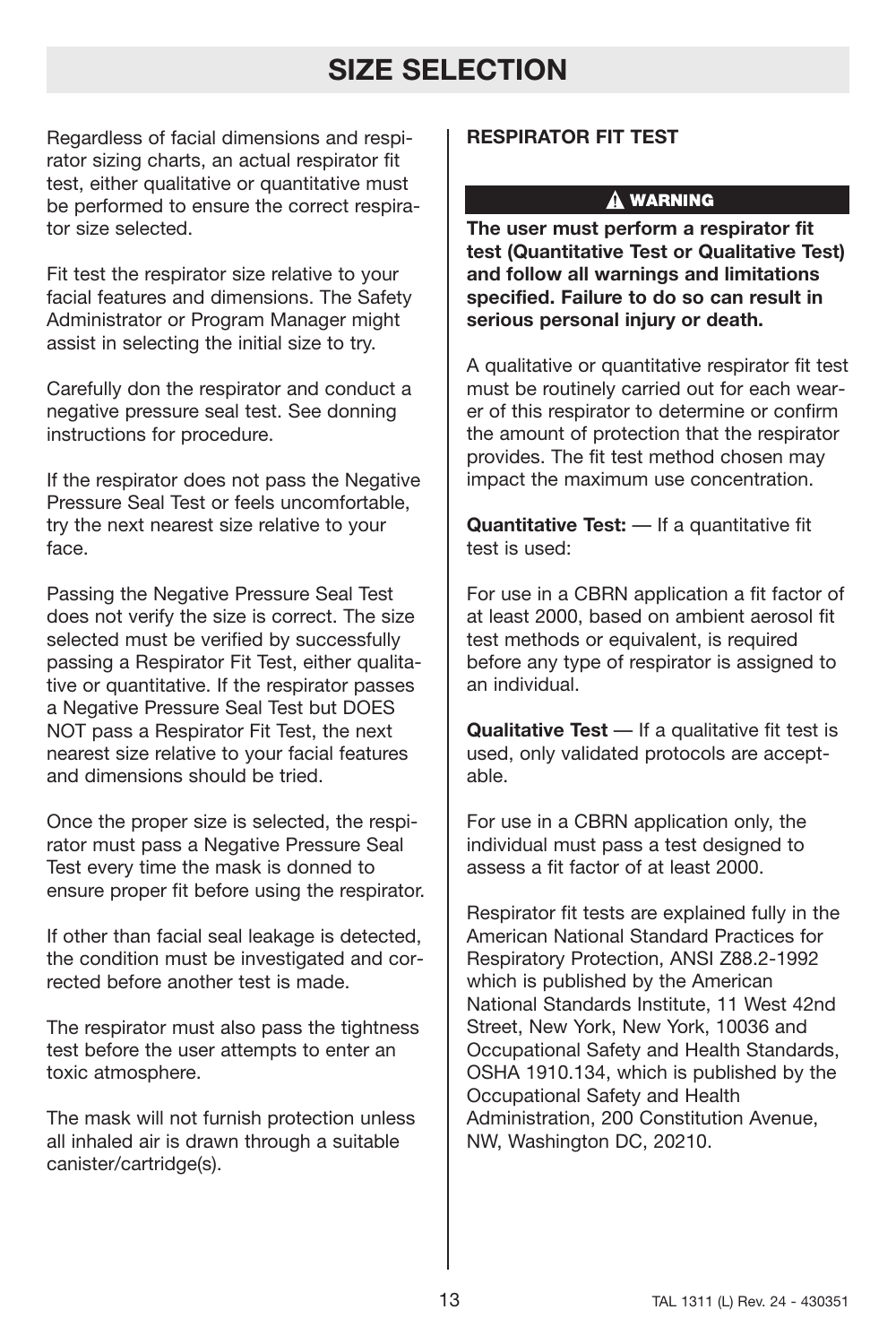# **SIZE SELECTION**

Regardless of facial dimensions and respirator sizing charts, an actual respirator fit test, either qualitative or quantitative must be performed to ensure the correct respirator size selected.

Fit test the respirator size relative to your facial features and dimensions. The Safety Administrator or Program Manager might assist in selecting the initial size to try.

Carefully don the respirator and conduct a negative pressure seal test. See donning instructions for procedure.

If the respirator does not pass the Negative Pressure Seal Test or feels uncomfortable, try the next nearest size relative to your face.

Passing the Negative Pressure Seal Test does not verify the size is correct. The size selected must be verified by successfully passing a Respirator Fit Test, either qualitative or quantitative. If the respirator passes a Negative Pressure Seal Test but DOES NOT pass a Respirator Fit Test, the next nearest size relative to your facial features and dimensions should be tried.

Once the proper size is selected, the respirator must pass a Negative Pressure Seal Test every time the mask is donned to ensure proper fit before using the respirator.

If other than facial seal leakage is detected, the condition must be investigated and corrected before another test is made.

The respirator must also pass the tightness test before the user attempts to enter an toxic atmosphere.

The mask will not furnish protection unless all inhaled air is drawn through a suitable canister/cartridge(s).

## **RESPIRATOR FIT TEST**

## A WARNING

**The user must perform a respirator fit test (Quantitative Test or Qualitative Test) and follow all warnings and limitations specified. Failure to do so can result in serious personal injury or death.**

A qualitative or quantitative respirator fit test must be routinely carried out for each wearer of this respirator to determine or confirm the amount of protection that the respirator provides. The fit test method chosen may impact the maximum use concentration.

**Quantitative Test:** — If a quantitative fit test is used:

For use in a CBRN application a fit factor of at least 2000, based on ambient aerosol fit test methods or equivalent, is required before any type of respirator is assigned to an individual.

**Qualitative Test** — If a qualitative fit test is used, only validated protocols are acceptable.

For use in a CBRN application only, the individual must pass a test designed to assess a fit factor of at least 2000.

Respirator fit tests are explained fully in the American National Standard Practices for Respiratory Protection, ANSI Z88.2-1992 which is published by the American National Standards Institute, 11 West 42nd Street, New York, New York, 10036 and Occupational Safety and Health Standards, OSHA 1910.134, which is published by the Occupational Safety and Health Administration, 200 Constitution Avenue, NW, Washington DC, 20210.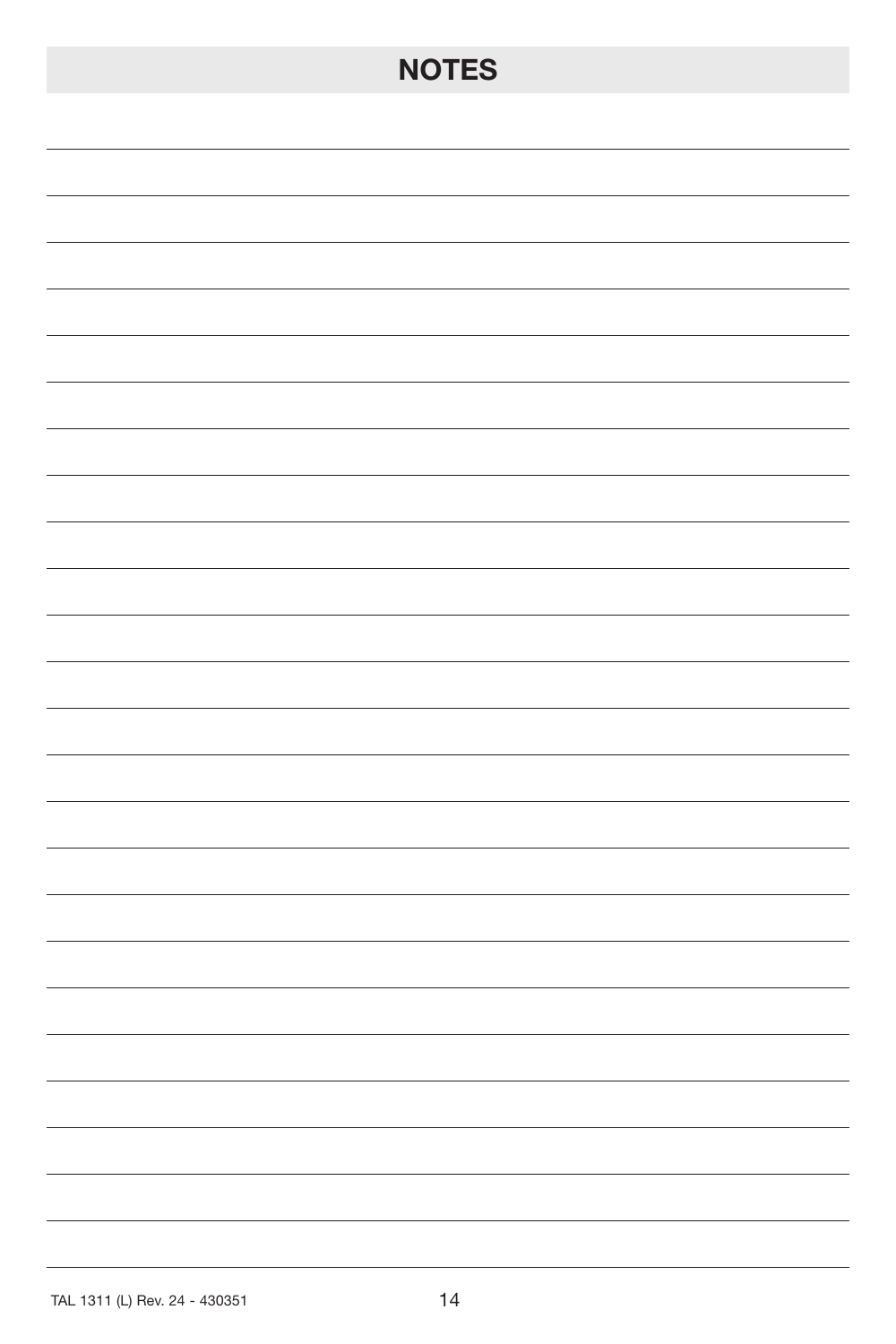# **NOTES**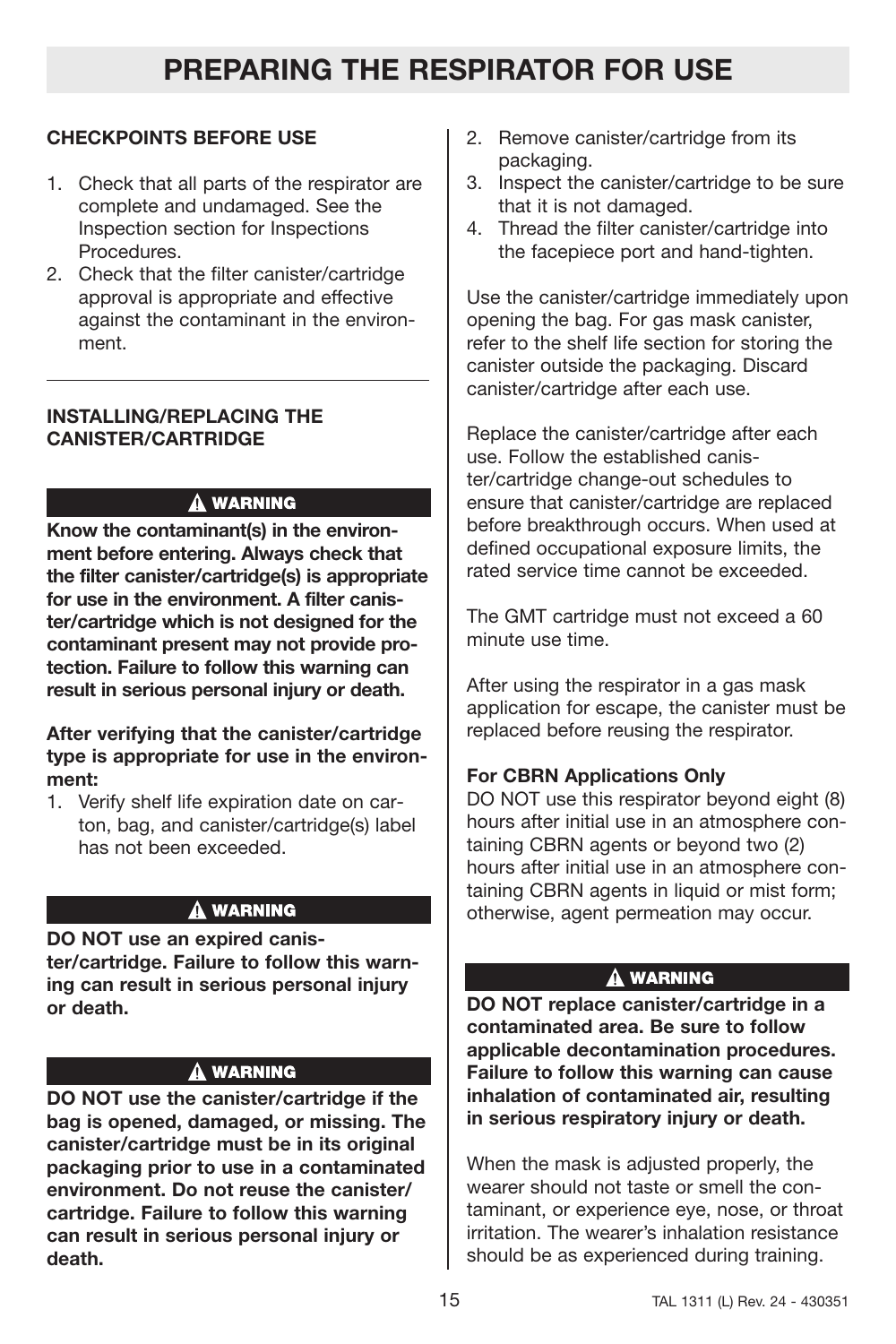## **CHECKPOINTS BEFORE USE**

- 1. Check that all parts of the respirator are complete and undamaged. See the Inspection section for Inspections Procedures.
- 2. Check that the filter canister/cartridge approval is appropriate and effective against the contaminant in the environment.

## **INSTALLING/REPLACING THE CANISTER/CARTRIDGE**

## A WARNING

**Know the contaminant(s) in the environment before entering. Always check that the filter canister/cartridge(s) is appropriate for use in the environment. A filter canister/cartridge which is not designed for the contaminant present may not provide protection. Failure to follow this warning can result in serious personal injury or death.**

## **After verifying that the canister/cartridge type is appropriate for use in the environment:**

1. Verify shelf life expiration date on carton, bag, and canister/cartridge(s) label has not been exceeded.

## A WARNING

**DO NOT use an expired canister/cartridge. Failure to follow this warning can result in serious personal injury or death.**

## **A WARNING**

**DO NOT use the canister/cartridge if the bag is opened, damaged, or missing. The canister/cartridge must be in its original packaging prior to use in a contaminated environment. Do not reuse the canister/ cartridge. Failure to follow this warning can result in serious personal injury or death.**

- 2. Remove canister/cartridge from its packaging.
- 3. Inspect the canister/cartridge to be sure that it is not damaged.
- 4. Thread the filter canister/cartridge into the facepiece port and hand-tighten.

Use the canister/cartridge immediately upon opening the bag. For gas mask canister, refer to the shelf life section for storing the canister outside the packaging. Discard canister/cartridge after each use.

Replace the canister/cartridge after each use. Follow the established canister/cartridge change-out schedules to ensure that canister/cartridge are replaced before breakthrough occurs. When used at defined occupational exposure limits, the rated service time cannot be exceeded.

The GMT cartridge must not exceed a 60 minute use time.

After using the respirator in a gas mask application for escape, the canister must be replaced before reusing the respirator.

## **For CBRN Applications Only**

DO NOT use this respirator beyond eight (8) hours after initial use in an atmosphere containing CBRN agents or beyond two (2) hours after initial use in an atmosphere containing CBRN agents in liquid or mist form; otherwise, agent permeation may occur.

## A WARNING

**DO NOT replace canister/cartridge in a contaminated area. Be sure to follow applicable decontamination procedures. Failure to follow this warning can cause inhalation of contaminated air, resulting in serious respiratory injury or death.**

When the mask is adjusted properly, the wearer should not taste or smell the contaminant, or experience eye, nose, or throat irritation. The wearer's inhalation resistance should be as experienced during training.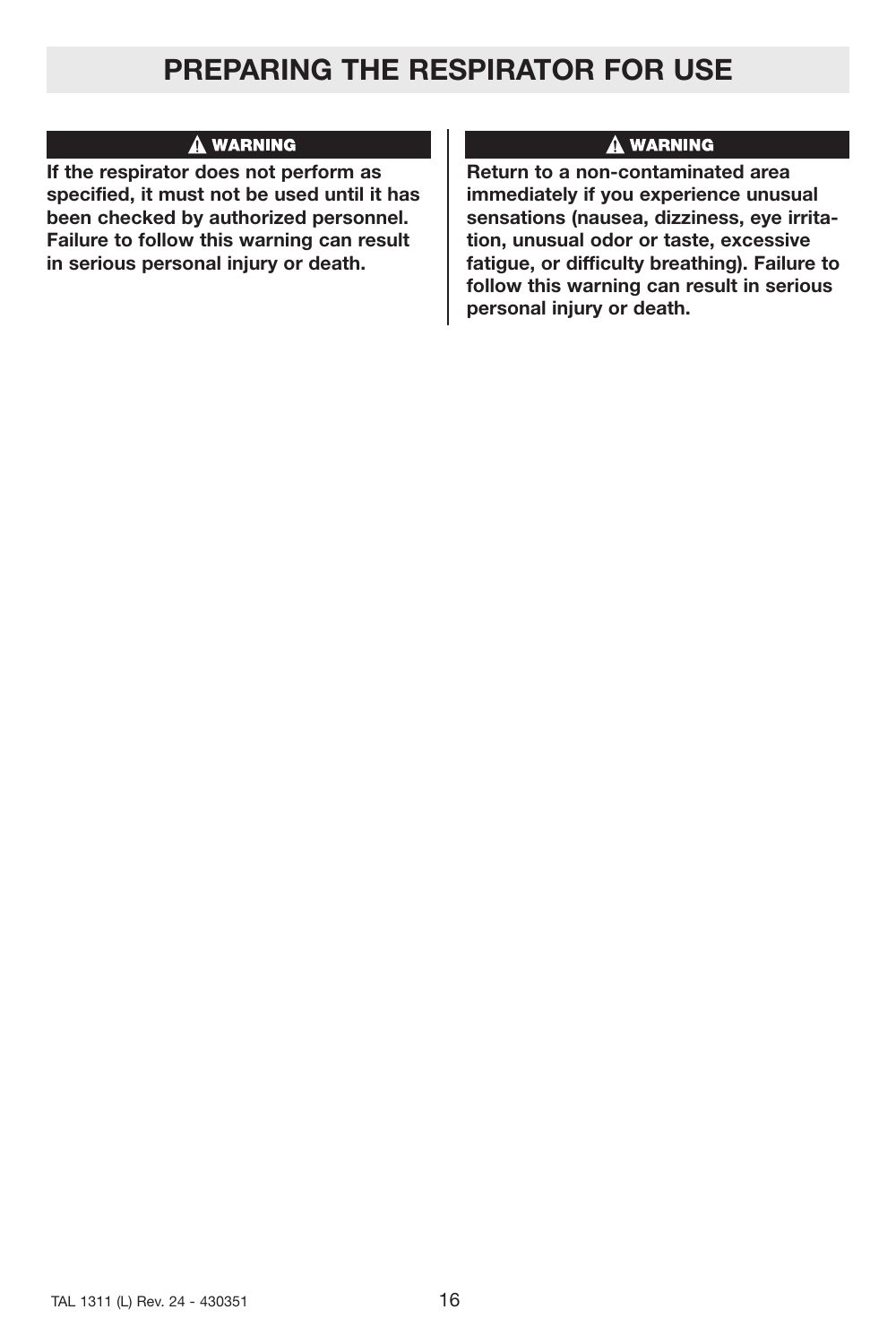# **PREPARING THE RESPIRATOR FOR USE**

## A WARNING

**If the respirator does not perform as specified, it must not be used until it has been checked by authorized personnel. Failure to follow this warning can result in serious personal injury or death.**

## **A WARNING**

**Return to a non-contaminated area immediately if you experience unusual sensations (nausea, dizziness, eye irritation, unusual odor or taste, excessive fatigue, or difficulty breathing). Failure to follow this warning can result in serious personal injury or death.**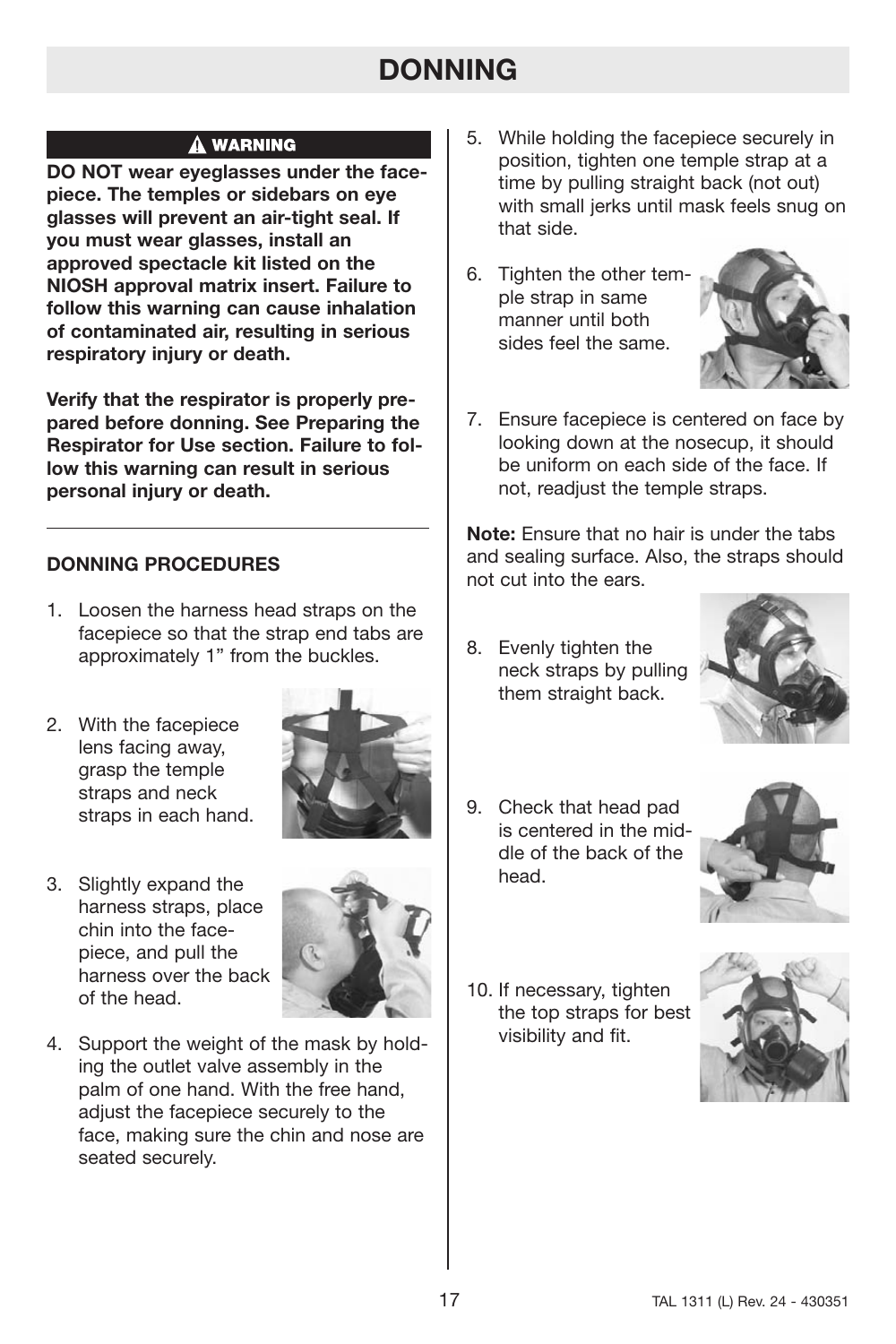# **DONNING**

## A WARNING

**DO NOT wear eyeglasses under the facepiece. The temples or sidebars on eye glasses will prevent an air-tight seal. If you must wear glasses, install an approved spectacle kit listed on the NIOSH approval matrix insert. Failure to follow this warning can cause inhalation of contaminated air, resulting in serious respiratory injury or death.**

**Verify that the respirator is properly prepared before donning. See Preparing the Respirator for Use section. Failure to follow this warning can result in serious personal injury or death.**

## **DONNING PROCEDURES**

- 1. Loosen the harness head straps on the facepiece so that the strap end tabs are approximately 1" from the buckles.
- 2. With the facepiece lens facing away, grasp the temple straps and neck straps in each hand.



3. Slightly expand the harness straps, place chin into the facepiece, and pull the harness over the back of the head.



4. Support the weight of the mask by holding the outlet valve assembly in the palm of one hand. With the free hand, adjust the facepiece securely to the face, making sure the chin and nose are seated securely.

- 5. While holding the facepiece securely in position, tighten one temple strap at a time by pulling straight back (not out) with small jerks until mask feels snug on that side.
- 6. Tighten the other temple strap in same manner until both sides feel the same.



7. Ensure facepiece is centered on face by looking down at the nosecup, it should be uniform on each side of the face. If not, readjust the temple straps.

**Note:** Ensure that no hair is under the tabs and sealing surface. Also, the straps should not cut into the ears.

8. Evenly tighten the neck straps by pulling them straight back.



9. Check that head pad is centered in the middle of the back of the head.



10. If necessary, tighten the top straps for best visibility and fit.

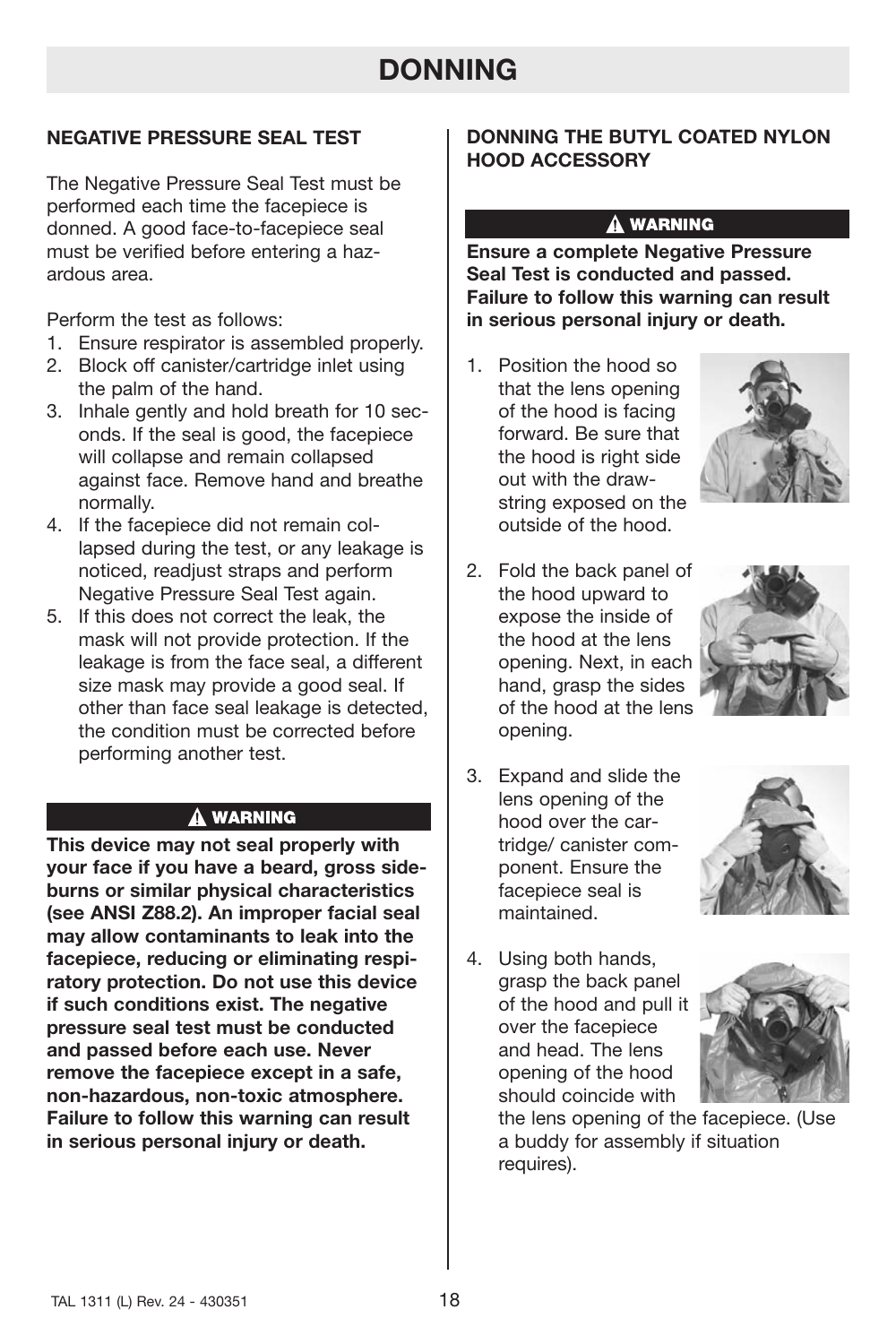# **DONNING**

## **NEGATIVE PRESSURE SEAL TEST**

The Negative Pressure Seal Test must be performed each time the facepiece is donned. A good face-to-facepiece seal must be verified before entering a hazardous area.

Perform the test as follows:

- 1. Ensure respirator is assembled properly.
- 2. Block off canister/cartridge inlet using the palm of the hand.
- 3. Inhale gently and hold breath for 10 seconds. If the seal is good, the facepiece will collapse and remain collapsed against face. Remove hand and breathe normally.
- 4. If the facepiece did not remain collapsed during the test, or any leakage is noticed, readjust straps and perform Negative Pressure Seal Test again.
- 5. If this does not correct the leak, the mask will not provide protection. If the leakage is from the face seal, a different size mask may provide a good seal. If other than face seal leakage is detected, the condition must be corrected before performing another test.

## **A WARNING**

**This device may not seal properly with your face if you have a beard, gross sideburns or similar physical characteristics (see ANSI Z88.2). An improper facial seal may allow contaminants to leak into the facepiece, reducing or eliminating respiratory protection. Do not use this device if such conditions exist. The negative pressure seal test must be conducted and passed before each use. Never remove the facepiece except in a safe, non-hazardous, non-toxic atmosphere. Failure to follow this warning can result in serious personal injury or death.**

## **DONNING THE BUTYL COATED NYLON HOOD ACCESSORY**

## A WARNING

**Ensure a complete Negative Pressure Seal Test is conducted and passed. Failure to follow this warning can result in serious personal injury or death.**

- 1. Position the hood so that the lens opening of the hood is facing forward. Be sure that the hood is right side out with the drawstring exposed on the outside of the hood.
- 2. Fold the back panel of the hood upward to expose the inside of the hood at the lens opening. Next, in each hand, grasp the sides of the hood at the lens opening.
- 3. Expand and slide the lens opening of the hood over the cartridge/ canister component. Ensure the facepiece seal is maintained.



4. Using both hands, grasp the back panel of the hood and pull it over the facepiece and head. The lens opening of the hood should coincide with



the lens opening of the facepiece. (Use a buddy for assembly if situation requires).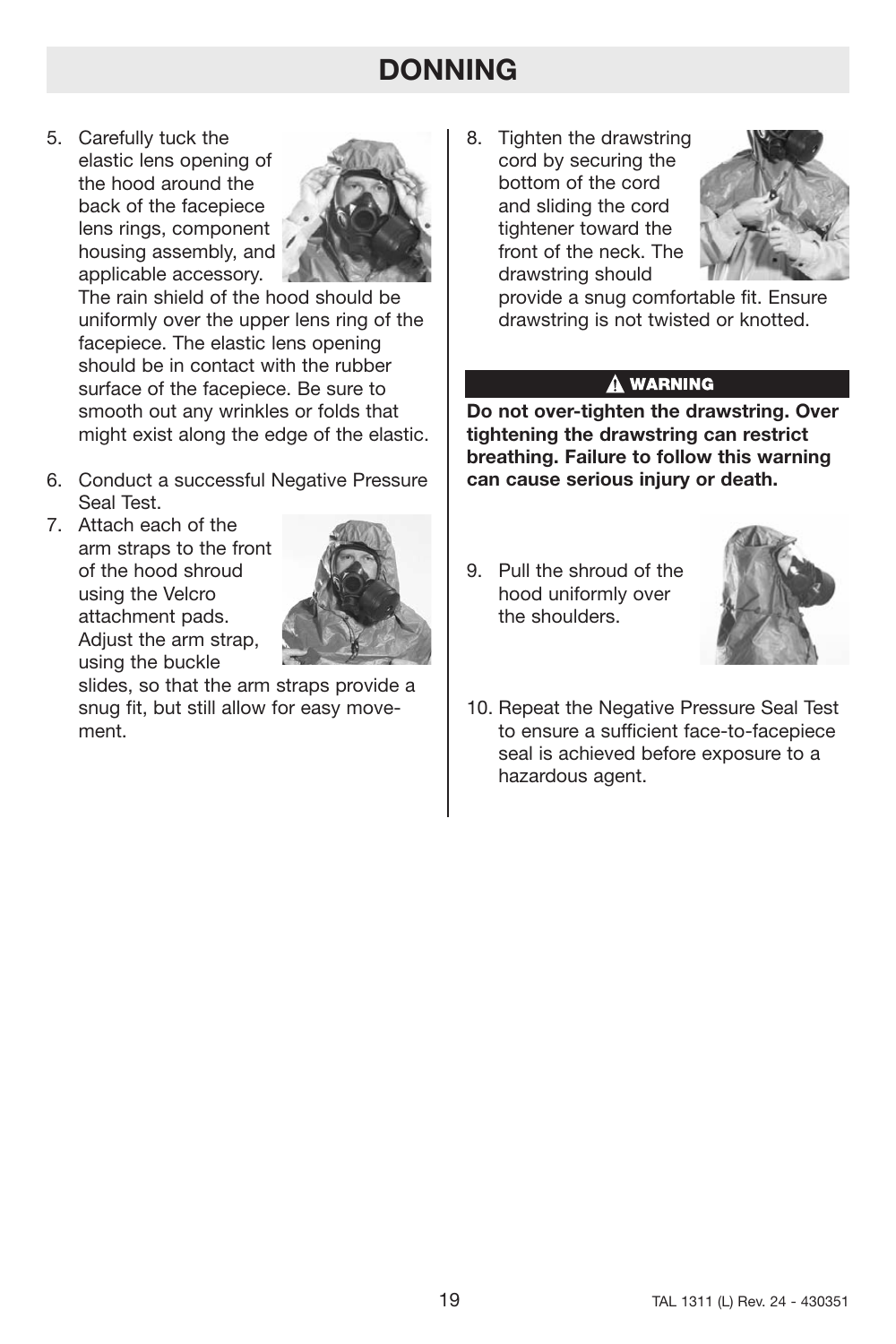# **DONNING**

5. Carefully tuck the elastic lens opening of the hood around the back of the facepiece lens rings, component housing assembly, and applicable accessory.



The rain shield of the hood should be uniformly over the upper lens ring of the facepiece. The elastic lens opening should be in contact with the rubber surface of the facepiece. Be sure to smooth out any wrinkles or folds that might exist along the edge of the elastic.

- 6. Conduct a successful Negative Pressure Seal Test.
- 7. Attach each of the arm straps to the front of the hood shroud using the Velcro attachment pads. Adjust the arm strap, using the buckle



slides, so that the arm straps provide a snug fit, but still allow for easy movement.

8. Tighten the drawstring cord by securing the bottom of the cord and sliding the cord tightener toward the front of the neck. The drawstring should



provide a snug comfortable fit. Ensure drawstring is not twisted or knotted.

## A WARNING

**Do not over-tighten the drawstring. Over tightening the drawstring can restrict breathing. Failure to follow this warning can cause serious injury or death.**

9. Pull the shroud of the hood uniformly over the shoulders.



10. Repeat the Negative Pressure Seal Test to ensure a sufficient face-to-facepiece seal is achieved before exposure to a hazardous agent.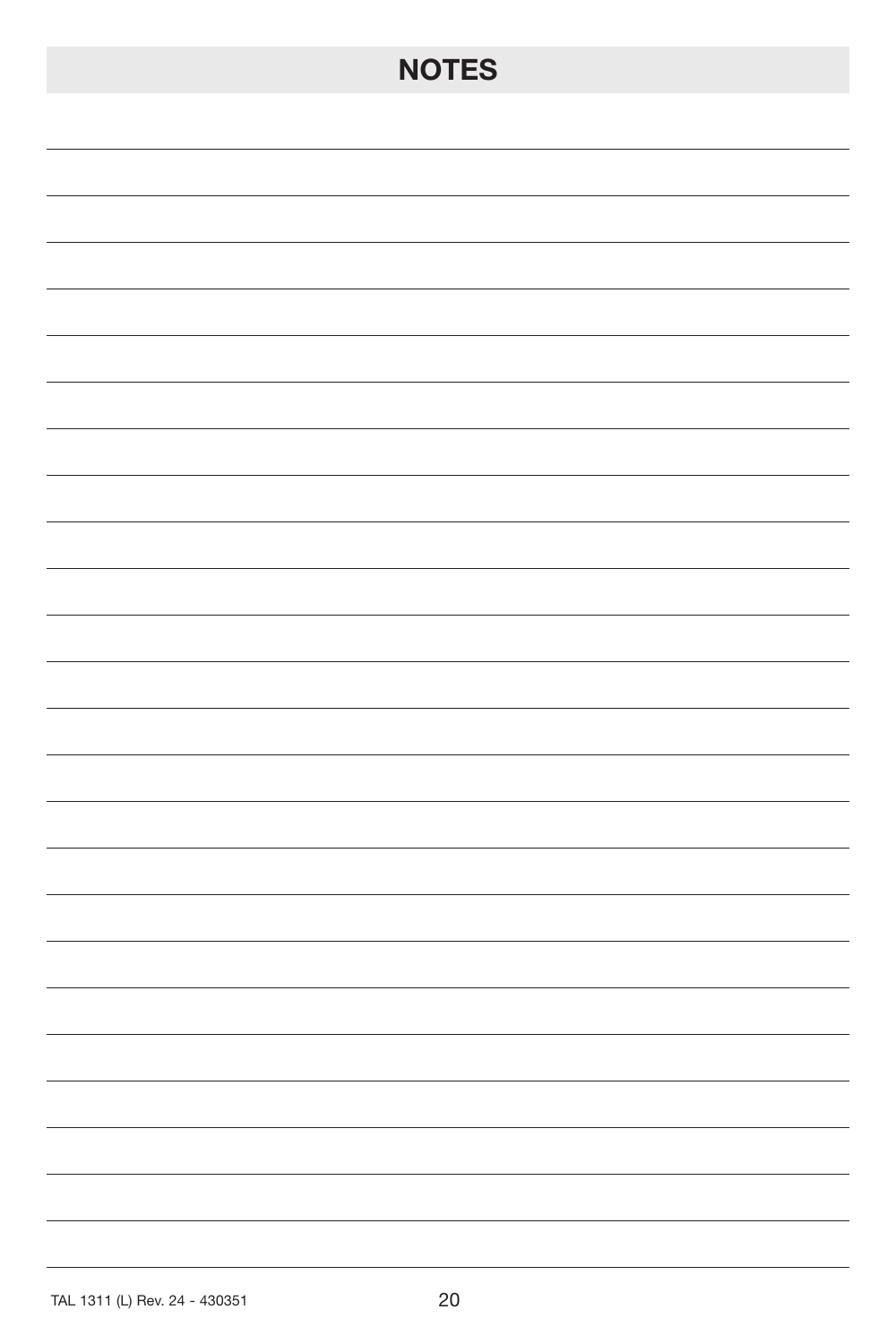# **NOTES**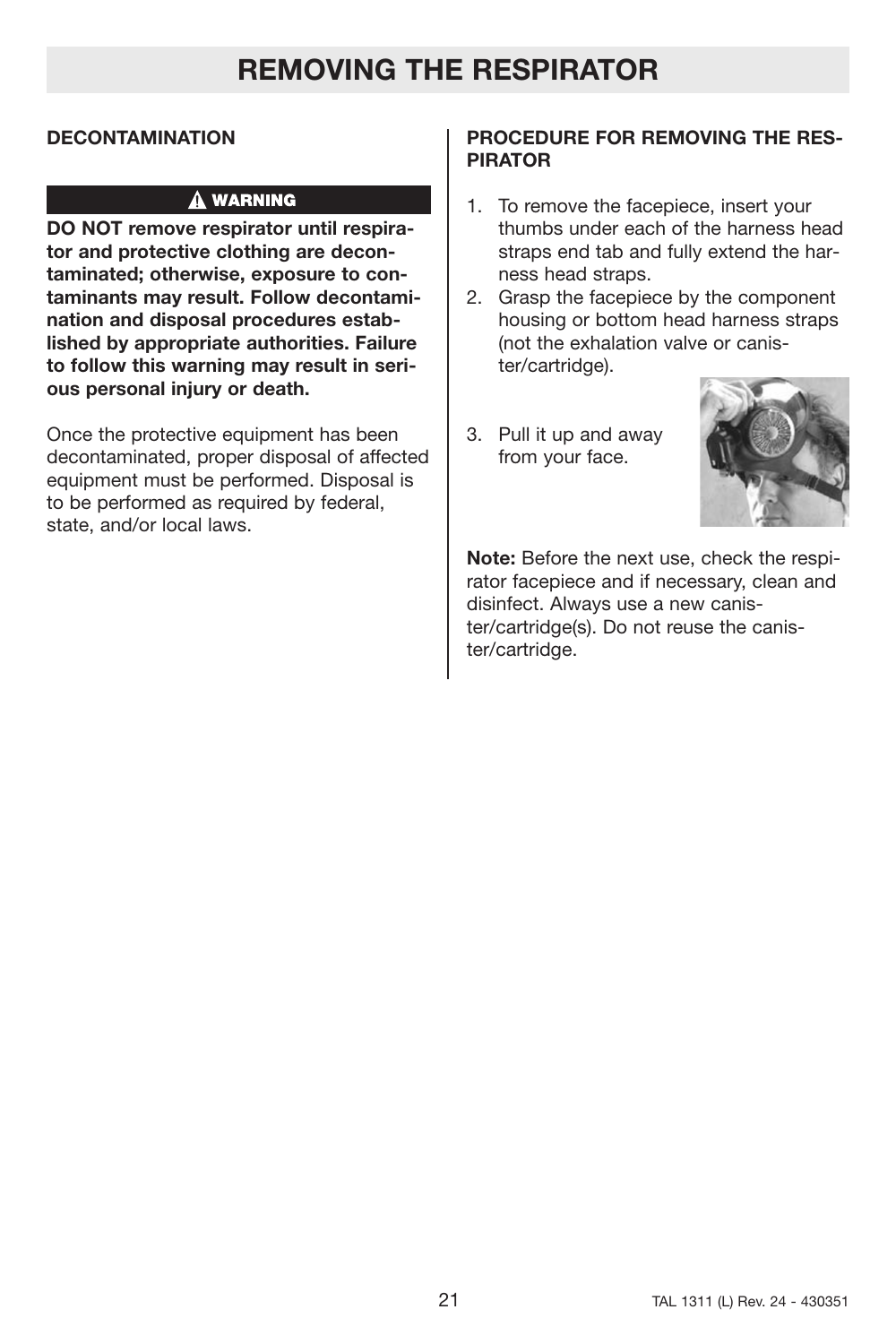## **DECONTAMINATION**

## **A WARNING**

**DO NOT remove respirator until respirator and protective clothing are decontaminated; otherwise, exposure to contaminants may result. Follow decontamination and disposal procedures established by appropriate authorities. Failure to follow this warning may result in serious personal injury or death.**

Once the protective equipment has been decontaminated, proper disposal of affected equipment must be performed. Disposal is to be performed as required by federal, state, and/or local laws.

## **PROCEDURE FOR REMOVING THE RES-PIRATOR**

- 1. To remove the facepiece, insert your thumbs under each of the harness head straps end tab and fully extend the harness head straps.
- 2. Grasp the facepiece by the component housing or bottom head harness straps (not the exhalation valve or canister/cartridge).
- 3. Pull it up and away from your face.



**Note:** Before the next use, check the respirator facepiece and if necessary, clean and disinfect. Always use a new canister/cartridge(s). Do not reuse the canister/cartridge.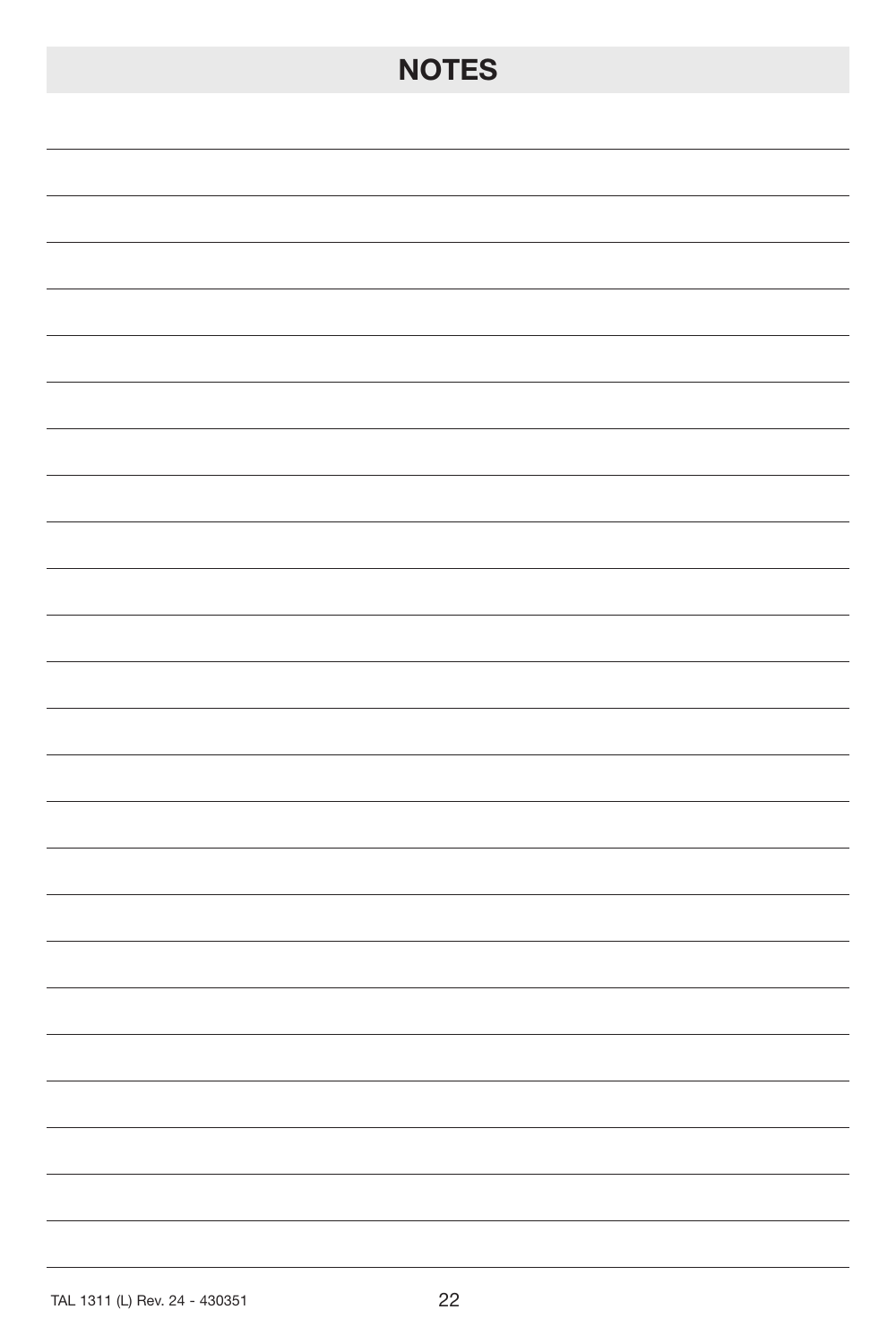# **NOTES**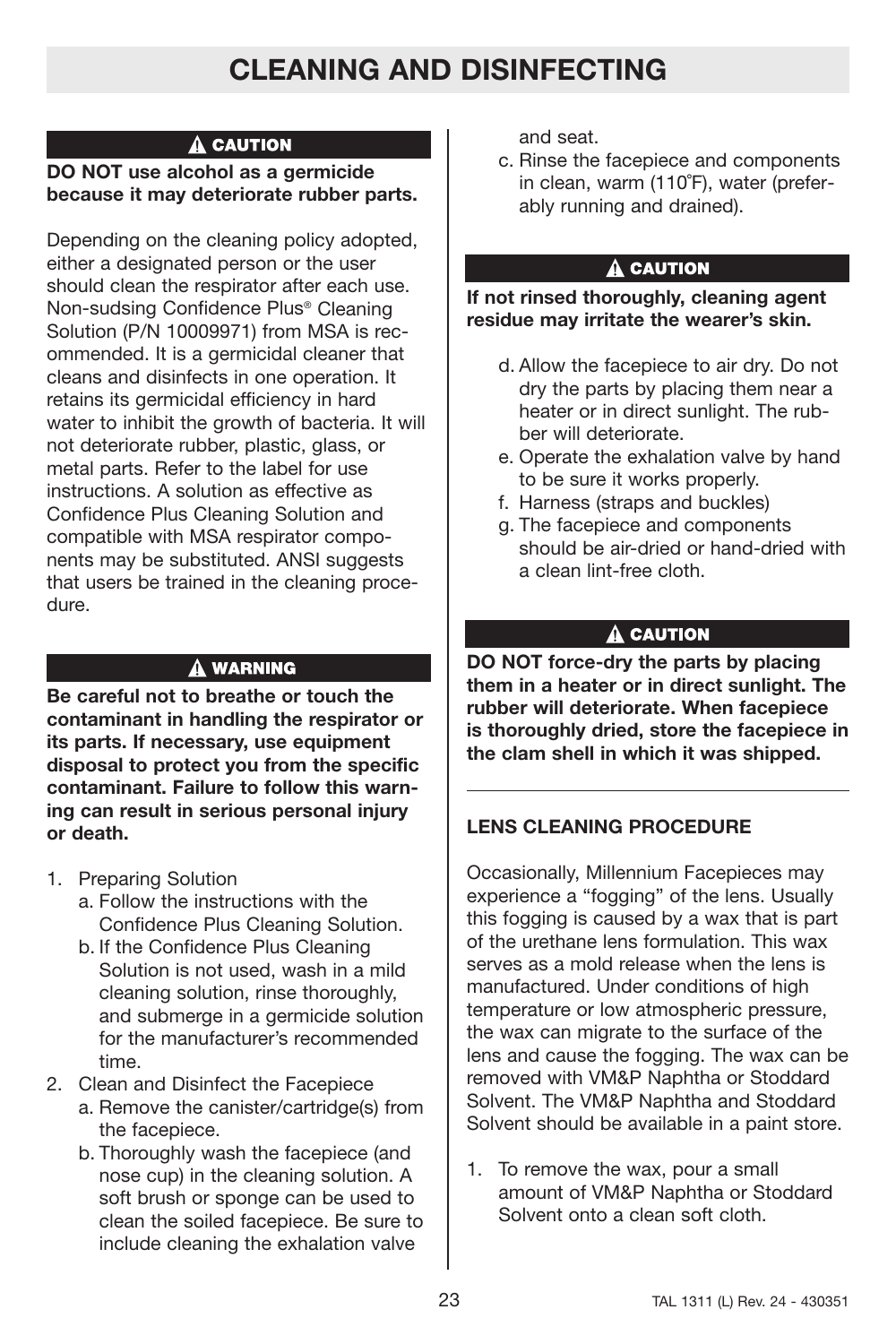# **CLEANING AND DISINFECTING**

## A CAUTION

## **DO NOT use alcohol as a germicide because it may deteriorate rubber parts.**

Depending on the cleaning policy adopted, either a designated person or the user should clean the respirator after each use. Non-sudsing Confidence Plus® Cleaning Solution (P/N 10009971) from MSA is recommended. It is a germicidal cleaner that cleans and disinfects in one operation. It retains its germicidal efficiency in hard water to inhibit the growth of bacteria. It will not deteriorate rubber, plastic, glass, or metal parts. Refer to the label for use instructions. A solution as effective as Confidence Plus Cleaning Solution and compatible with MSA respirator components may be substituted. ANSI suggests that users be trained in the cleaning procedure.

## A WARNING

**Be careful not to breathe or touch the contaminant in handling the respirator or its parts. If necessary, use equipment disposal to protect you from the specific contaminant. Failure to follow this warning can result in serious personal injury or death.**

- 1. Preparing Solution
	- a. Follow the instructions with the Confidence Plus Cleaning Solution.
	- b. If the Confidence Plus Cleaning Solution is not used, wash in a mild cleaning solution, rinse thoroughly, and submerge in a germicide solution for the manufacturer's recommended time.
- 2. Clean and Disinfect the Facepiece
	- a. Remove the canister/cartridge(s) from the facepiece.
	- b. Thoroughly wash the facepiece (and nose cup) in the cleaning solution. A soft brush or sponge can be used to clean the soiled facepiece. Be sure to include cleaning the exhalation valve

and seat.

c. Rinse the facepiece and components in clean, warm (110˚F), water (preferably running and drained).

## A CAUTION

**If not rinsed thoroughly, cleaning agent residue may irritate the wearer's skin.**

- d. Allow the facepiece to air dry. Do not dry the parts by placing them near a heater or in direct sunlight. The rubber will deteriorate.
- e. Operate the exhalation valve by hand to be sure it works properly.
- f. Harness (straps and buckles)
- g. The facepiece and components should be air-dried or hand-dried with a clean lint-free cloth.

## A CAUTION

**DO NOT force-dry the parts by placing them in a heater or in direct sunlight. The rubber will deteriorate. When facepiece is thoroughly dried, store the facepiece in the clam shell in which it was shipped.**

## **LENS CLEANING PROCEDURE**

Occasionally, Millennium Facepieces may experience a "fogging" of the lens. Usually this fogging is caused by a wax that is part of the urethane lens formulation. This wax serves as a mold release when the lens is manufactured. Under conditions of high temperature or low atmospheric pressure, the wax can migrate to the surface of the lens and cause the fogging. The wax can be removed with VM&P Naphtha or Stoddard Solvent. The VM&P Naphtha and Stoddard Solvent should be available in a paint store.

1. To remove the wax, pour a small amount of VM&P Naphtha or Stoddard Solvent onto a clean soft cloth.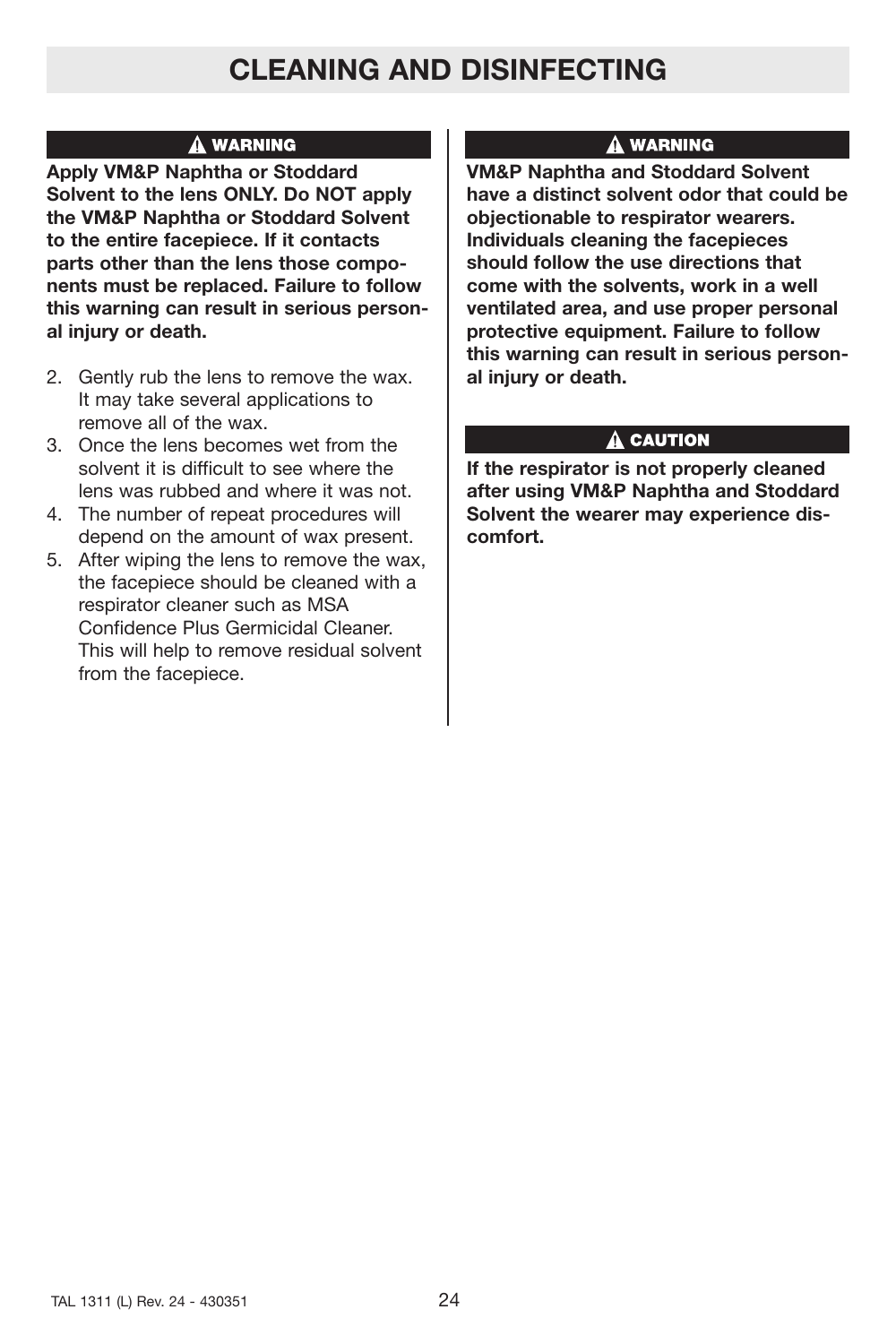# **CLEANING AND DISINFECTING**

## A WARNING

**Apply VM&P Naphtha or Stoddard Solvent to the lens ONLY. Do NOT apply the VM&P Naphtha or Stoddard Solvent to the entire facepiece. If it contacts parts other than the lens those components must be replaced. Failure to follow this warning can result in serious personal injury or death.**

- 2. Gently rub the lens to remove the wax. It may take several applications to remove all of the wax.
- 3. Once the lens becomes wet from the solvent it is difficult to see where the lens was rubbed and where it was not.
- 4. The number of repeat procedures will depend on the amount of wax present.
- 5. After wiping the lens to remove the wax, the facepiece should be cleaned with a respirator cleaner such as MSA Confidence Plus Germicidal Cleaner. This will help to remove residual solvent from the facepiece.

## **A WARNING**

**VM&P Naphtha and Stoddard Solvent have a distinct solvent odor that could be objectionable to respirator wearers. Individuals cleaning the facepieces should follow the use directions that come with the solvents, work in a well ventilated area, and use proper personal protective equipment. Failure to follow this warning can result in serious personal injury or death.**

## $\hat{\mathbf{A}}$  caution

**If the respirator is not properly cleaned after using VM&P Naphtha and Stoddard Solvent the wearer may experience discomfort.**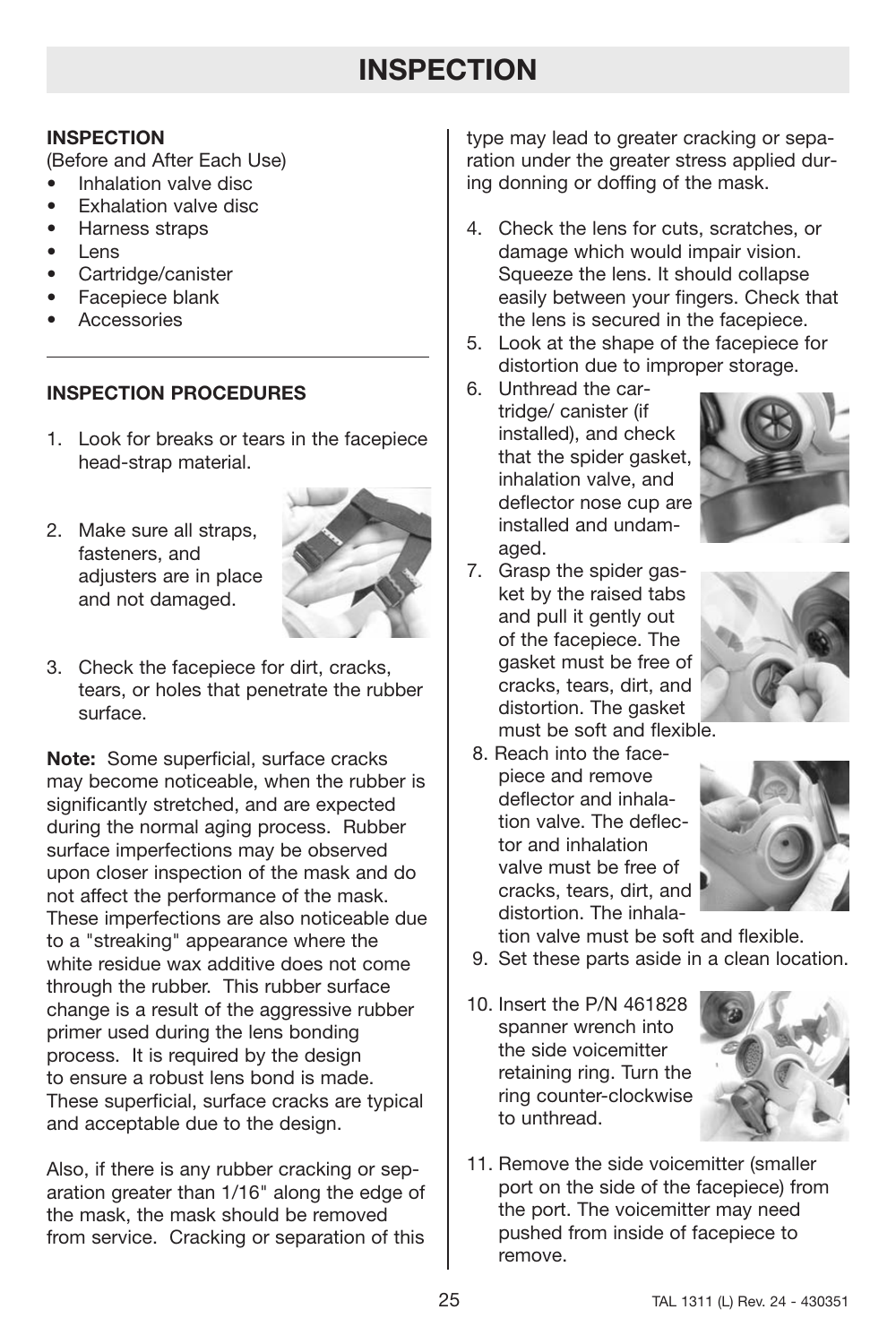# **INSPECTION**

## **INSPECTION**

(Before and After Each Use)

- Inhalation valve disc
- Exhalation valve disc
- Harness straps
- Lens
- Cartridge/canister
- Facepiece blank
- **Accessories**

## **INSPECTION PROCEDURES**

- 1. Look for breaks or tears in the facepiece head-strap material.
- 2. Make sure all straps, fasteners, and adiusters are in place and not damaged.



3. Check the facepiece for dirt, cracks, tears, or holes that penetrate the rubber surface.

**Note:** Some superficial, surface cracks may become noticeable, when the rubber is significantly stretched, and are expected during the normal aging process. Rubber surface imperfections may be observed upon closer inspection of the mask and do not affect the performance of the mask. These imperfections are also noticeable due to a "streaking" appearance where the white residue wax additive does not come through the rubber. This rubber surface change is a result of the aggressive rubber primer used during the lens bonding process. It is required by the design to ensure a robust lens bond is made. These superficial, surface cracks are typical and acceptable due to the design.

Also, if there is any rubber cracking or separation greater than 1/16" along the edge of the mask, the mask should be removed from service. Cracking or separation of this type may lead to greater cracking or separation under the greater stress applied during donning or doffing of the mask.

- 4. Check the lens for cuts, scratches, or damage which would impair vision. Squeeze the lens. It should collapse easily between your fingers. Check that the lens is secured in the facepiece.
- 5. Look at the shape of the facepiece for distortion due to improper storage.
- 6. Unthread the cartridge/ canister (if installed), and check that the spider gasket, inhalation valve, and deflector nose cup are installed and undamaged.



7. Grasp the spider gasket by the raised tabs and pull it gently out of the facepiece. The gasket must be free of cracks, tears, dirt, and distortion. The gasket must be soft and flexible.



- 8. Reach into the face-
- piece and remove deflector and inhalation valve. The deflector and inhalation valve must be free of cracks, tears, dirt, and distortion. The inhala-



tion valve must be soft and flexible.

- 9. Set these parts aside in a clean location.
- 10. Insert the P/N 461828 spanner wrench into the side voicemitter retaining ring. Turn the ring counter-clockwise to unthread.



11. Remove the side voicemitter (smaller port on the side of the facepiece) from the port. The voicemitter may need pushed from inside of facepiece to remove.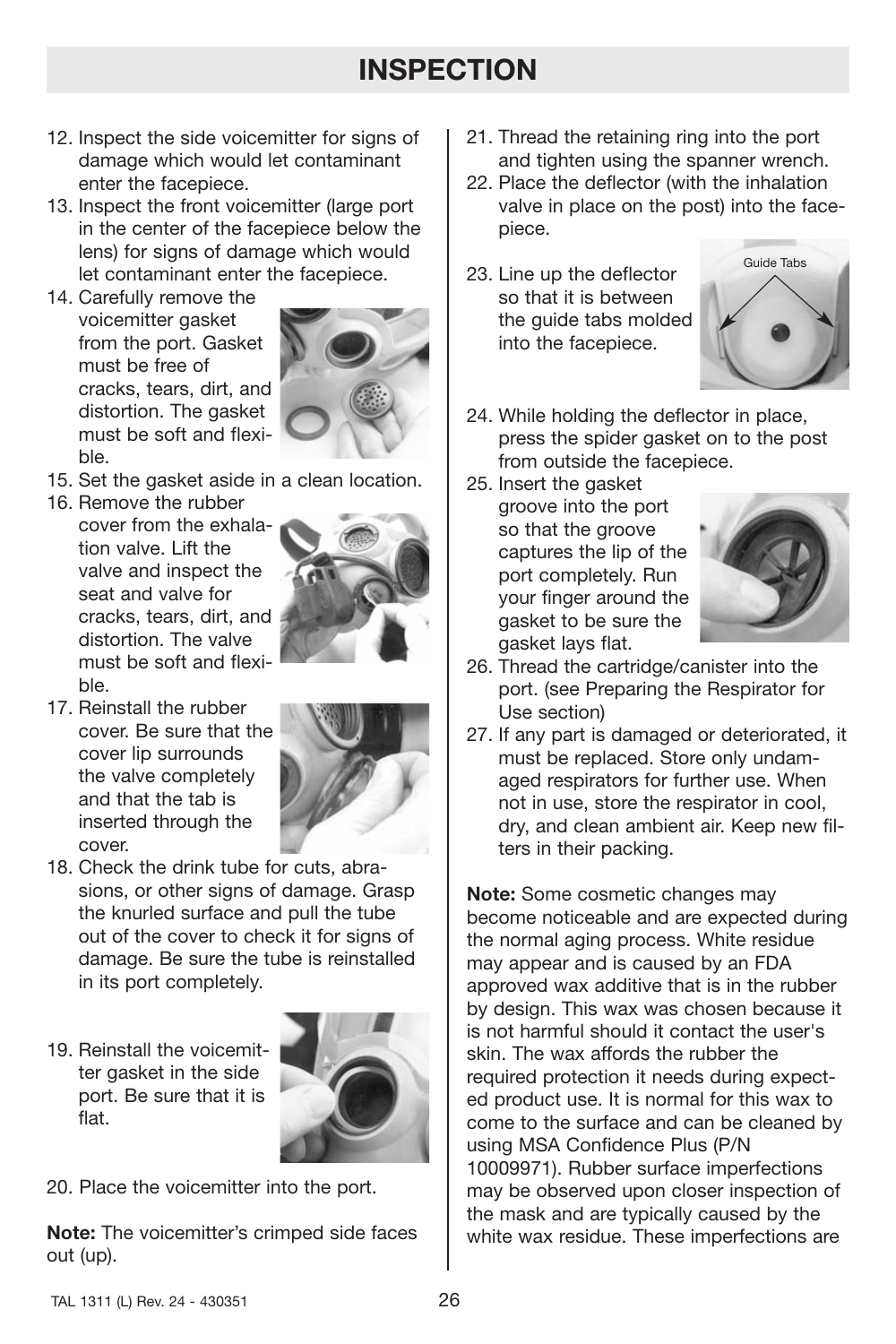# **INSPECTION**

- 12. Inspect the side voicemitter for signs of damage which would let contaminant enter the facepiece.
- 13. Inspect the front voicemitter (large port in the center of the facepiece below the lens) for signs of damage which would let contaminant enter the facepiece.
- 14. Carefully remove the voicemitter gasket from the port. Gasket must be free of cracks, tears, dirt, and distortion. The gasket must be soft and flexible.



- 15. Set the gasket aside in a clean location.
- 16. Remove the rubber cover from the exhalation valve. Lift the valve and inspect the seat and valve for cracks, tears, dirt, and distortion. The valve must be soft and flexible.



17. Reinstall the rubber cover. Be sure that the cover lip surrounds the valve completely and that the tab is inserted through the cover.



- 18. Check the drink tube for cuts, abrasions, or other signs of damage. Grasp the knurled surface and pull the tube out of the cover to check it for signs of damage. Be sure the tube is reinstalled in its port completely.
- 19. Reinstall the voicemitter gasket in the side port. Be sure that it is flat.



20. Place the voicemitter into the port.

**Note:** The voicemitter's crimped side faces out (up).

- 21. Thread the retaining ring into the port and tighten using the spanner wrench.
- 22. Place the deflector (with the inhalation valve in place on the post) into the facepiece.
- 23. Line up the deflector so that it is between the guide tabs molded into the facepiece.



- 24. While holding the deflector in place, press the spider gasket on to the post from outside the facepiece.
- 25. Insert the gasket groove into the port so that the groove captures the lip of the port completely. Run your finger around the gasket to be sure the gasket lays flat.



- 26. Thread the cartridge/canister into the port. (see Preparing the Respirator for Use section)
- 27. If any part is damaged or deteriorated, it must be replaced. Store only undamaged respirators for further use. When not in use, store the respirator in cool, dry, and clean ambient air. Keep new filters in their packing.

**Note:** Some cosmetic changes may become noticeable and are expected during the normal aging process. White residue may appear and is caused by an FDA approved wax additive that is in the rubber by design. This wax was chosen because it is not harmful should it contact the user's skin. The wax affords the rubber the required protection it needs during expected product use. It is normal for this wax to come to the surface and can be cleaned by using MSA Confidence Plus (P/N 10009971). Rubber surface imperfections may be observed upon closer inspection of the mask and are typically caused by the white wax residue. These imperfections are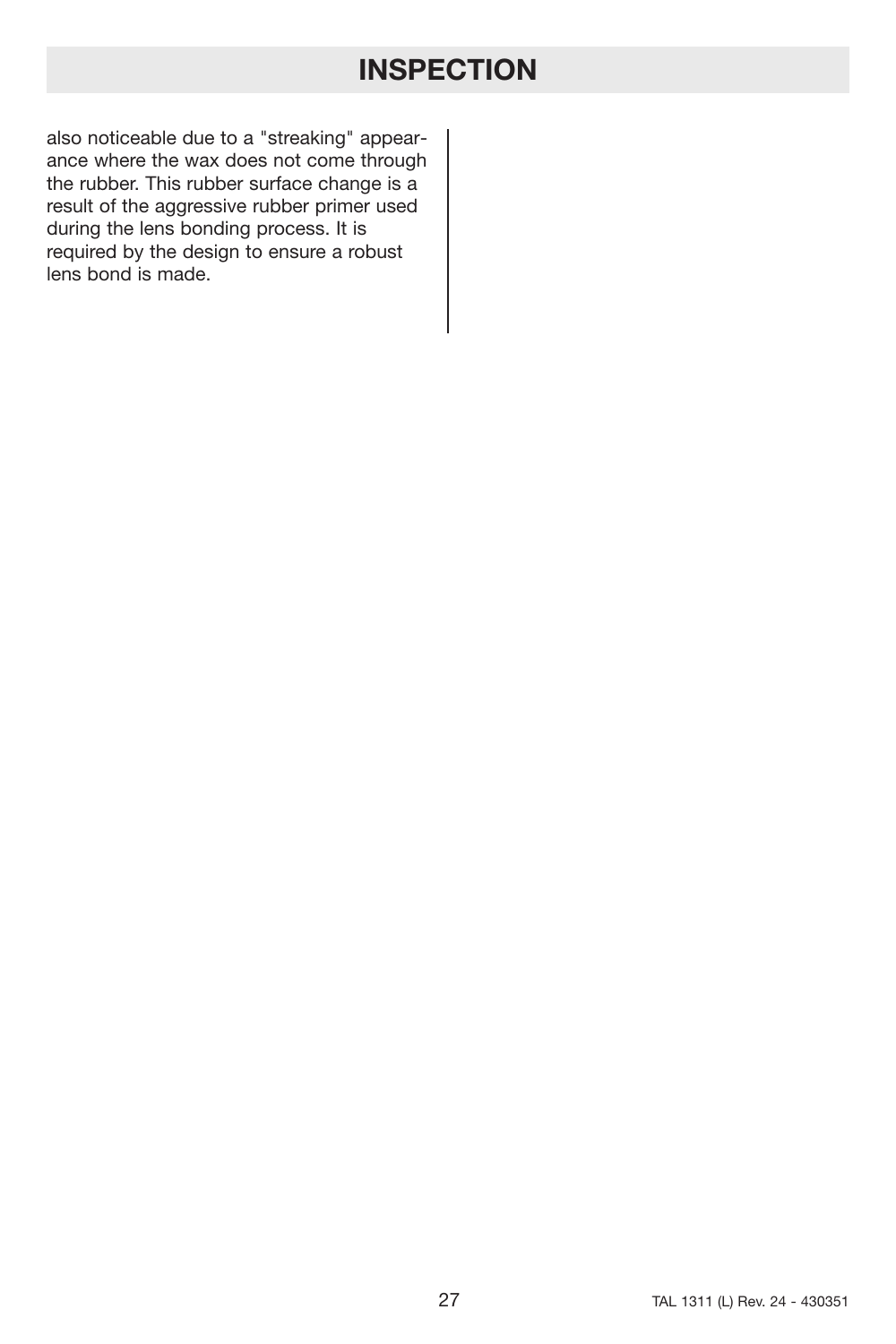# **INSPECTION**

also noticeable due to a "streaking" appearance where the wax does not come through the rubber. This rubber surface change is a result of the aggressive rubber primer used during the lens bonding process. It is required by the design to ensure a robust lens bond is made.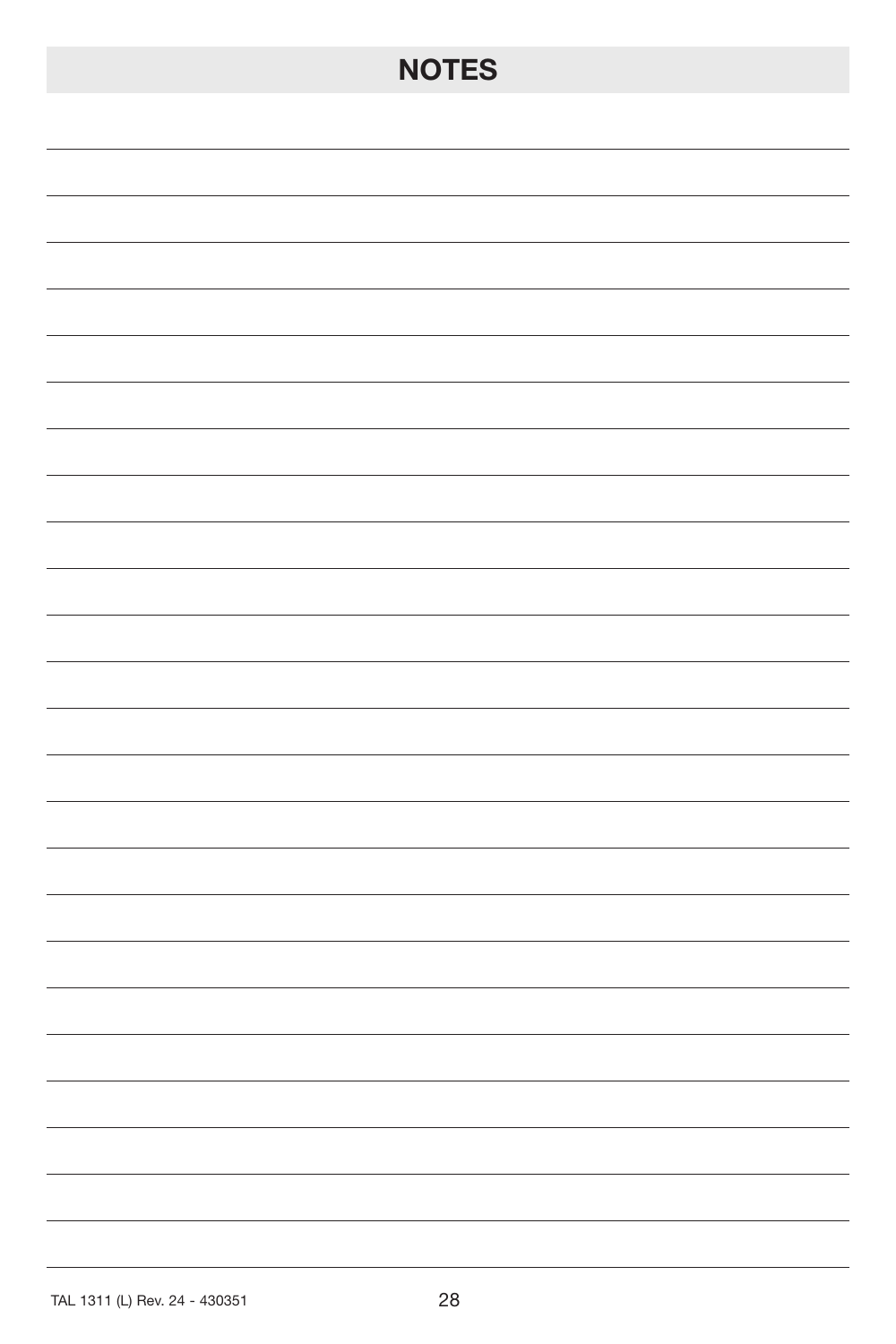# **NOTES**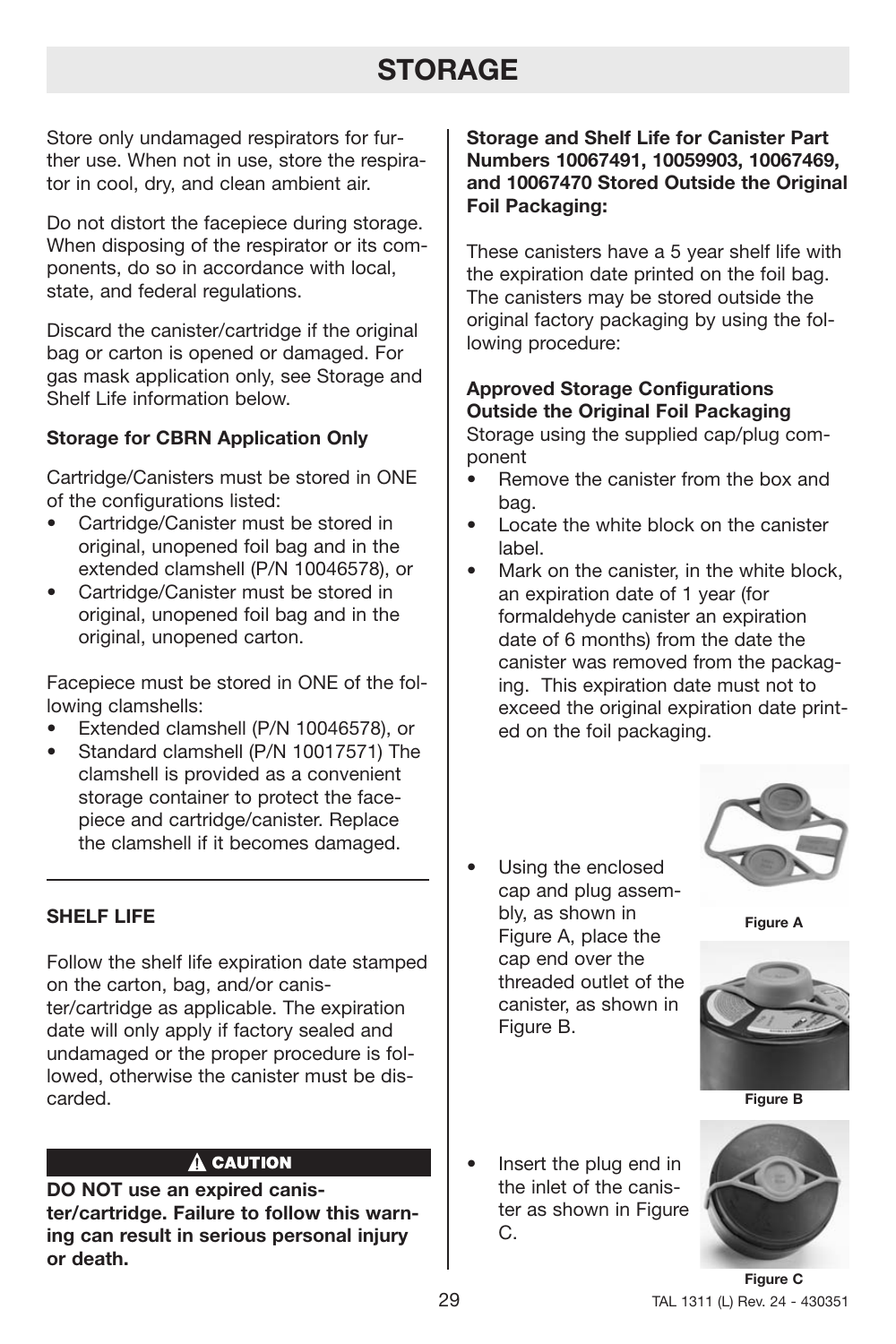# **STORAGE**

Store only undamaged respirators for further use. When not in use, store the respirator in cool, dry, and clean ambient air.

Do not distort the facepiece during storage. When disposing of the respirator or its components, do so in accordance with local, state, and federal regulations.

Discard the canister/cartridge if the original bag or carton is opened or damaged. For gas mask application only, see Storage and Shelf Life information below.

## **Storage for CBRN Application Only**

Cartridge/Canisters must be stored in ONE of the configurations listed:

- Cartridge/Canister must be stored in original, unopened foil bag and in the extended clamshell (P/N 10046578), or
- Cartridge/Canister must be stored in original, unopened foil bag and in the original, unopened carton.

Facepiece must be stored in ONE of the following clamshells:

- Extended clamshell (P/N 10046578), or
- Standard clamshell (P/N 10017571) The clamshell is provided as a convenient storage container to protect the facepiece and cartridge/canister. Replace the clamshell if it becomes damaged.

## **SHELF LIFE**

Follow the shelf life expiration date stamped on the carton, bag, and/or canister/cartridge as applicable. The expiration date will only apply if factory sealed and undamaged or the proper procedure is followed, otherwise the canister must be discarded.

## A CAUTION

**DO NOT use an expired canister/cartridge. Failure to follow this warning can result in serious personal injury or death.**

**Storage and Shelf Life for Canister Part Numbers 10067491, 10059903, 10067469, and 10067470 Stored Outside the Original Foil Packaging:**

These canisters have a 5 year shelf life with the expiration date printed on the foil bag. The canisters may be stored outside the original factory packaging by using the following procedure:

## **Approved Storage Configurations Outside the Original Foil Packaging**

Storage using the supplied cap/plug component

- Remove the canister from the box and bag.
- Locate the white block on the canister label.
- Mark on the canister, in the white block, an expiration date of 1 year (for formaldehyde canister an expiration date of 6 months) from the date the canister was removed from the packaging. This expiration date must not to exceed the original expiration date printed on the foil packaging.
- Using the enclosed cap and plug assembly, as shown in Figure A, place the cap end over the threaded outlet of the canister, as shown in Figure B.



**Figure A**



**Figure B**

• Insert the plug end in the inlet of the canister as shown in Figure C.

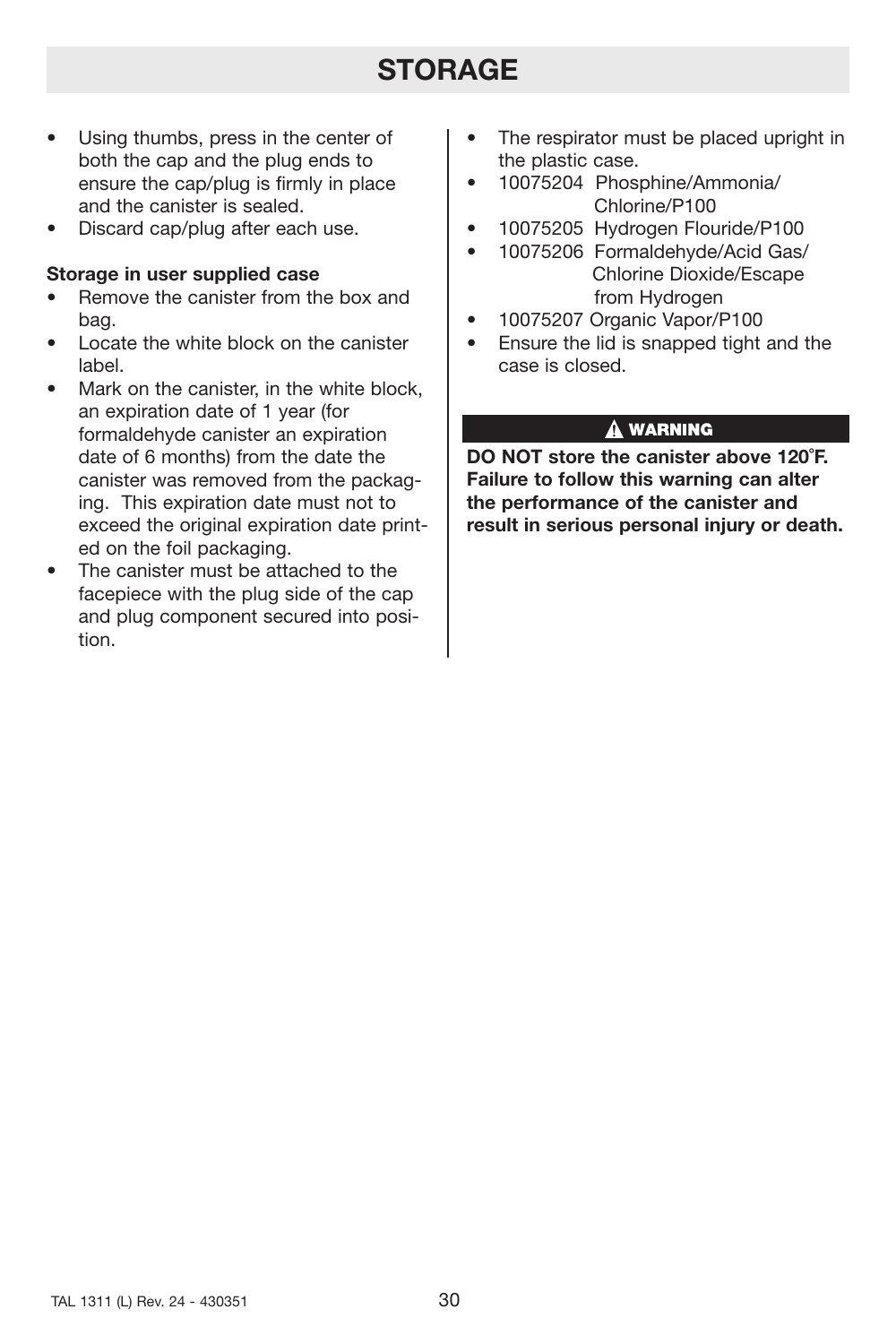# **STORAGE**

- Using thumbs, press in the center of both the cap and the plug ends to ensure the cap/plug is firmly in place and the canister is sealed.
- Discard cap/plug after each use.

## **Storage in user supplied case**

- Remove the canister from the box and bag.
- Locate the white block on the canister label.
- Mark on the canister, in the white block. an expiration date of 1 year (for formaldehyde canister an expiration date of 6 months) from the date the canister was removed from the packaging. This expiration date must not to exceed the original expiration date printed on the foil packaging.
- The canister must be attached to the facepiece with the plug side of the cap and plug component secured into position.
- The respirator must be placed upright in the plastic case.
- 10075204 Phosphine/Ammonia/ Chlorine/P100
- 10075205 Hydrogen Flouride/P100
- 10075206 Formaldehyde/Acid Gas/ Chlorine Dioxide/Escape from Hydrogen
- 10075207 Organic Vapor/P100
- Ensure the lid is snapped tight and the case is closed.

## A WARNING

**DO NOT store the canister above 120˚F. Failure to follow this warning can alter the performance of the canister and result in serious personal injury or death.**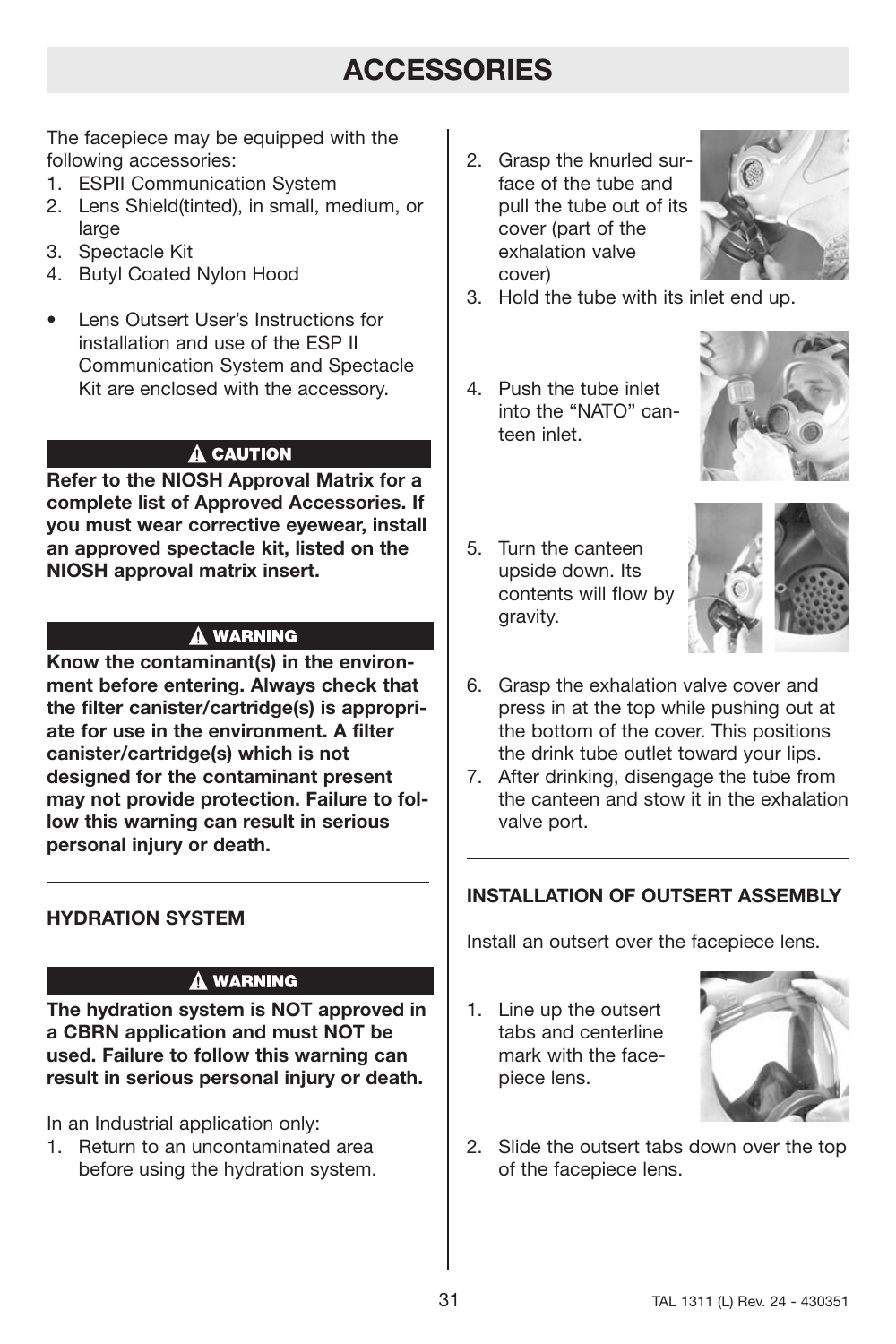# **ACCESSORIES**

The facepiece may be equipped with the following accessories:

- 1. ESPII Communication System
- 2. Lens Shield(tinted), in small, medium, or large
- 3. Spectacle Kit
- 4. Butyl Coated Nylon Hood
- Lens Outsert User's Instructions for installation and use of the ESP II Communication System and Spectacle Kit are enclosed with the accessory.

## $\mathbf{\mathbf{\Delta}}$  CAUTION

**Refer to the NIOSH Approval Matrix for a complete list of Approved Accessories. If you must wear corrective eyewear, install an approved spectacle kit, listed on the NIOSH approval matrix insert.**

## **A WARNING**

**Know the contaminant(s) in the environment before entering. Always check that the filter canister/cartridge(s) is appropriate for use in the environment. A filter canister/cartridge(s) which is not designed for the contaminant present may not provide protection. Failure to follow this warning can result in serious personal injury or death.**

## **HYDRATION SYSTEM**

## A WARNING

**The hydration system is NOT approved in a CBRN application and must NOT be used. Failure to follow this warning can result in serious personal injury or death.**

In an Industrial application only:

1. Return to an uncontaminated area before using the hydration system. 2. Grasp the knurled surface of the tube and pull the tube out of its cover (part of the exhalation valve cover)



- 3. Hold the tube with its inlet end up.
- 4. Push the tube inlet into the "NATO" canteen inlet.



5. Turn the canteen upside down. Its contents will flow by gravity.



- 6. Grasp the exhalation valve cover and press in at the top while pushing out at the bottom of the cover. This positions the drink tube outlet toward your lips.
- 7. After drinking, disengage the tube from the canteen and stow it in the exhalation valve port.

## **INSTALLATION OF OUTSERT ASSEMBLY**

Install an outsert over the facepiece lens.

1. Line up the outsert tabs and centerline mark with the facepiece lens.



2. Slide the outsert tabs down over the top of the facepiece lens.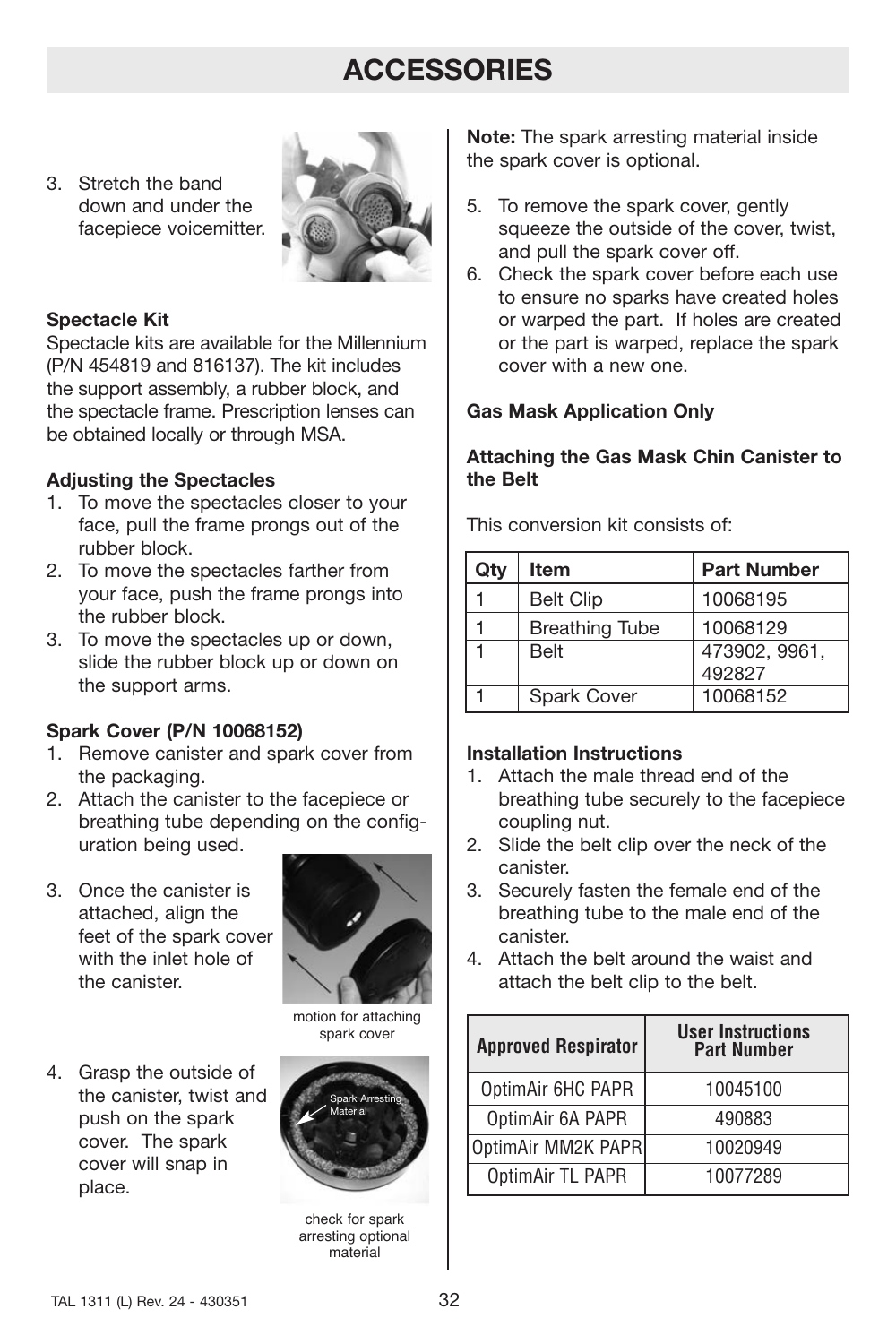# **ACCESSORIES**

3. Stretch the band down and under the facepiece voicemitter.



## **Spectacle Kit**

Spectacle kits are available for the Millennium (P/N 454819 and 816137). The kit includes the support assembly, a rubber block, and the spectacle frame. Prescription lenses can be obtained locally or through MSA.

## **Adjusting the Spectacles**

- 1. To move the spectacles closer to your face, pull the frame prongs out of the rubber block.
- 2. To move the spectacles farther from your face, push the frame prongs into the rubber block.
- 3. To move the spectacles up or down, slide the rubber block up or down on the support arms.

## **Spark Cover (P/N 10068152)**

- 1. Remove canister and spark cover from the packaging.
- 2. Attach the canister to the facepiece or breathing tube depending on the configuration being used.
- 3. Once the canister is attached, align the feet of the spark cover with the inlet hole of the canister.



motion for attaching spark cover

4. Grasp the outside of the canister, twist and push on the spark cover. The spark cover will snap in place.



check for spark arresting optional material

**Note:** The spark arresting material inside the spark cover is optional.

- 5. To remove the spark cover, gently squeeze the outside of the cover, twist, and pull the spark cover off.
- 6. Check the spark cover before each use to ensure no sparks have created holes or warped the part. If holes are created or the part is warped, replace the spark cover with a new one.

## **Gas Mask Application Only**

## **Attaching the Gas Mask Chin Canister to the Belt**

This conversion kit consists of:

| Qtv | <b>Item</b>           | <b>Part Number</b> |  |
|-----|-----------------------|--------------------|--|
|     | <b>Belt Clip</b>      | 10068195           |  |
|     | <b>Breathing Tube</b> | 10068129           |  |
|     | <b>Belt</b>           | 473902, 9961,      |  |
|     |                       | 492827             |  |
|     | <b>Spark Cover</b>    | 10068152           |  |

## **Installation Instructions**

- 1. Attach the male thread end of the breathing tube securely to the facepiece coupling nut.
- 2. Slide the belt clip over the neck of the canister.
- 3. Securely fasten the female end of the breathing tube to the male end of the canister.
- 4. Attach the belt around the waist and attach the belt clip to the belt.

| <b>Approved Respirator</b> | <b>User Instructions</b><br><b>Part Number</b> |  |  |
|----------------------------|------------------------------------------------|--|--|
| OptimAir 6HC PAPR          | 10045100                                       |  |  |
| OptimAir 6A PAPR           | 490883                                         |  |  |
| OptimAir MM2K PAPR         | 10020949                                       |  |  |
| OptimAir TL PAPR           | 10077289                                       |  |  |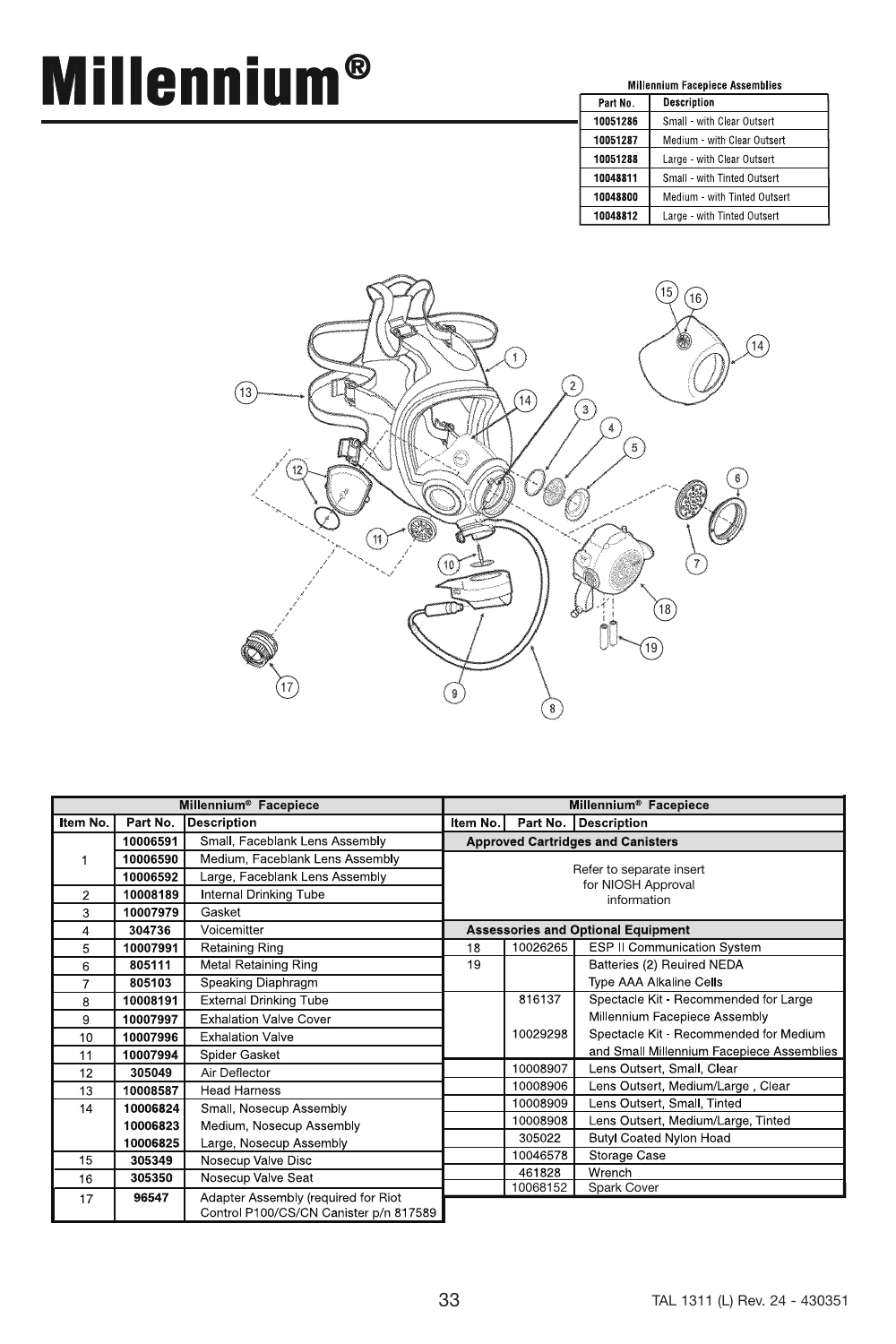# **Millennium®**

| <b>Millennium Facepiece Assemblies</b> |                              |  |  |
|----------------------------------------|------------------------------|--|--|
| Part No.                               | <b>Description</b>           |  |  |
| 10051286                               | Small - with Clear Outsert   |  |  |
| 10051287                               | Medium - with Clear Outsert  |  |  |
| 10051288                               | Large - with Clear Outsert   |  |  |
| 10048811                               | Small - with Tinted Outsert  |  |  |
| 10048800                               | Medium - with Tinted Outsert |  |  |
| 10048812                               | Large - with Tinted Outsert  |  |  |



| Millennium <sup>®</sup> Facepiece |          |                                        | Millennium <sup>®</sup> Facepiece        |                                           |                                           |  |
|-----------------------------------|----------|----------------------------------------|------------------------------------------|-------------------------------------------|-------------------------------------------|--|
| Item No.                          | Part No. | <b>Description</b>                     | Item No. I<br>Part No. Description       |                                           |                                           |  |
|                                   | 10006591 | Small, Faceblank Lens Assembly         | <b>Approved Cartridges and Canisters</b> |                                           |                                           |  |
|                                   | 10006590 | Medium, Faceblank Lens Assembly        |                                          |                                           |                                           |  |
|                                   | 10006592 | Large, Faceblank Lens Assembly         | Refer to separate insert                 |                                           |                                           |  |
| $\overline{2}$                    | 10008189 | <b>Internal Drinking Tube</b>          | for NIOSH Approval<br>information        |                                           |                                           |  |
| 3                                 | 10007979 | Gasket                                 |                                          |                                           |                                           |  |
| 4                                 | 304736   | Voicemitter                            |                                          | <b>Assessories and Optional Equipment</b> |                                           |  |
| 5                                 | 10007991 | <b>Retaining Ring</b>                  | 18                                       | 10026265                                  | <b>ESP II Communication System</b>        |  |
| 6                                 | 805111   | Metal Retaining Ring                   | 19                                       |                                           | Batteries (2) Reuired NEDA                |  |
| 7                                 | 805103   | Speaking Diaphragm                     |                                          |                                           | <b>Type AAA Alkaline Cells</b>            |  |
| 8                                 | 10008191 | <b>External Drinking Tube</b>          |                                          | 816137                                    | Spectacle Kit - Recommended for Large     |  |
| 9                                 | 10007997 | <b>Exhalation Valve Cover</b>          |                                          |                                           | Millennium Facepiece Assembly             |  |
| 10                                | 10007996 | <b>Exhalation Valve</b>                |                                          | 10029298                                  | Spectacle Kit - Recommended for Medium    |  |
| 11                                | 10007994 | Spider Gasket                          |                                          |                                           | and Small Millennium Facepiece Assemblies |  |
| 12                                | 305049   | Air Deflector                          |                                          | 10008907                                  | Lens Outsert, Small, Clear                |  |
| 13                                | 10008587 | <b>Head Harness</b>                    |                                          | 10008906                                  | Lens Outsert, Medium/Large, Clear         |  |
| 14                                | 10006824 | Small, Nosecup Assembly                |                                          | 10008909                                  | Lens Outsert, Small, Tinted               |  |
|                                   | 10006823 | Medium, Nosecup Assembly               |                                          | 10008908                                  | Lens Outsert, Medium/Large, Tinted        |  |
|                                   | 10006825 | Large, Nosecup Assembly                |                                          | 305022                                    | Butyl Coated Nylon Hoad                   |  |
| 15                                | 305349   | Nosecup Valve Disc                     |                                          | 10046578                                  | Storage Case                              |  |
| 16                                | 305350   | Nosecup Valve Seat                     |                                          | 461828                                    | Wrench                                    |  |
| 17                                | 96547    | Adapter Assembly (required for Riot    |                                          | 10068152                                  | Spark Cover                               |  |
|                                   |          | Control P100/CS/CN Canister p/n 817589 |                                          |                                           |                                           |  |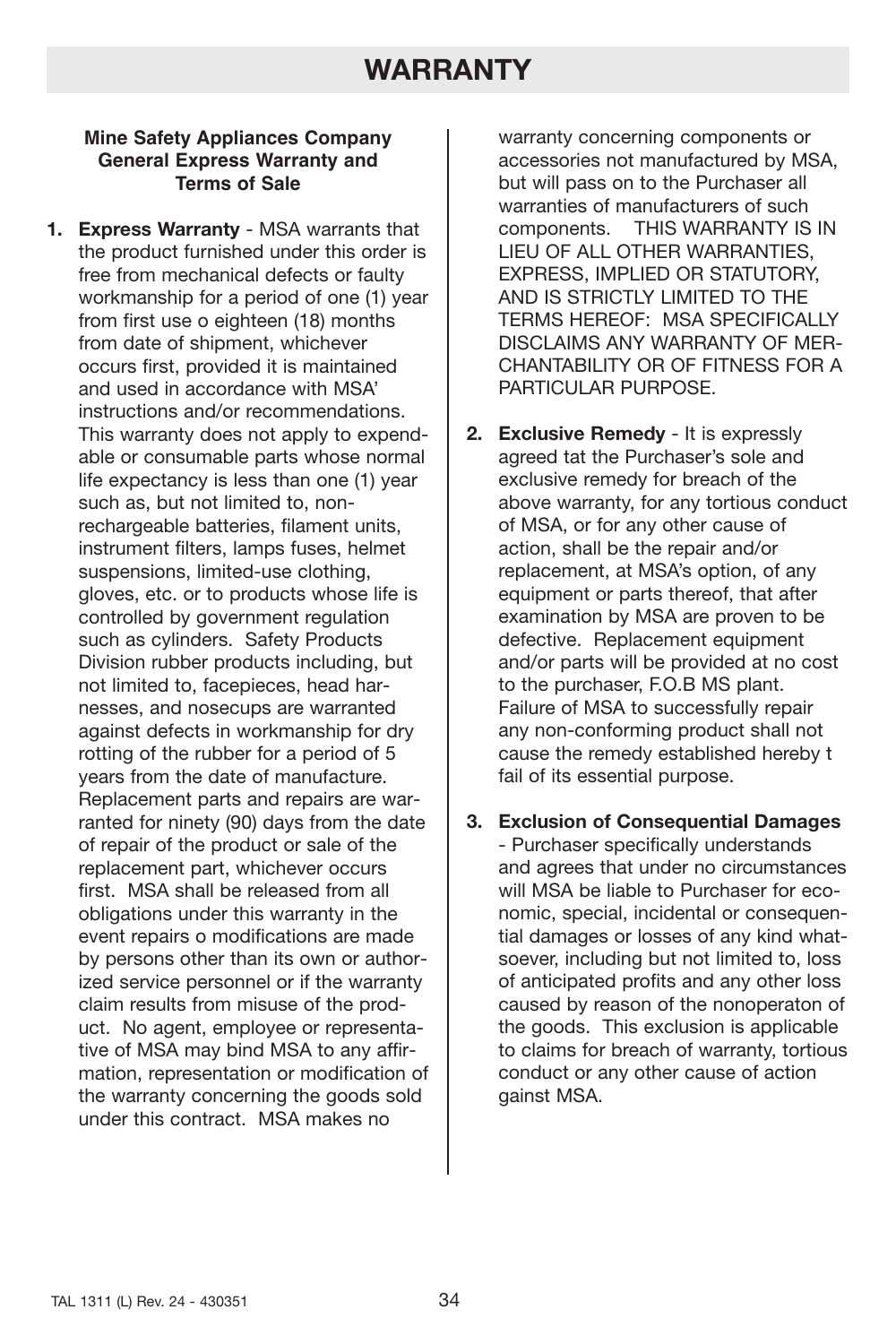# **WARRANTY**

## **Mine Safety Appliances Company General Express Warranty and Terms of Sale**

**1. Express Warranty** - MSA warrants that the product furnished under this order is free from mechanical defects or faulty workmanship for a period of one (1) year from first use o eighteen (18) months from date of shipment, whichever occurs first, provided it is maintained and used in accordance with MSA' instructions and/or recommendations. This warranty does not apply to expendable or consumable parts whose normal life expectancy is less than one (1) year such as, but not limited to, nonrechargeable batteries, filament units, instrument filters, lamps fuses, helmet suspensions, limited-use clothing, gloves, etc. or to products whose life is controlled by government regulation such as cylinders. Safety Products Division rubber products including, but not limited to, facepieces, head harnesses, and nosecups are warranted against defects in workmanship for dry rotting of the rubber for a period of 5 years from the date of manufacture. Replacement parts and repairs are warranted for ninety (90) days from the date of repair of the product or sale of the replacement part, whichever occurs first. MSA shall be released from all obligations under this warranty in the event repairs o modifications are made by persons other than its own or authorized service personnel or if the warranty claim results from misuse of the product. No agent, employee or representative of MSA may bind MSA to any affirmation, representation or modification of the warranty concerning the goods sold under this contract. MSA makes no

warranty concerning components or accessories not manufactured by MSA, but will pass on to the Purchaser all warranties of manufacturers of such components. THIS WARRANTY IS IN LIEU OF ALL OTHER WARRANTIES, EXPRESS, IMPLIED OR STATUTORY, AND IS STRICTLY LIMITED TO THE TERMS HEREOF: MSA SPECIFICALLY DISCLAIMS ANY WARRANTY OF MER-CHANTABILITY OR OF FITNESS FOR A PARTICULAR PURPOSE.

- **2. Exclusive Remedy** It is expressly agreed tat the Purchaser's sole and exclusive remedy for breach of the above warranty, for any tortious conduct of MSA, or for any other cause of action, shall be the repair and/or replacement, at MSA's option, of any equipment or parts thereof, that after examination by MSA are proven to be defective. Replacement equipment and/or parts will be provided at no cost to the purchaser, F.O.B MS plant. Failure of MSA to successfully repair any non-conforming product shall not cause the remedy established hereby t fail of its essential purpose.
- **3. Exclusion of Consequential Damages** - Purchaser specifically understands and agrees that under no circumstances will MSA be liable to Purchaser for economic, special, incidental or consequential damages or losses of any kind whatsoever, including but not limited to, loss of anticipated profits and any other loss caused by reason of the nonoperaton of the goods. This exclusion is applicable to claims for breach of warranty, tortious conduct or any other cause of action gainst MSA.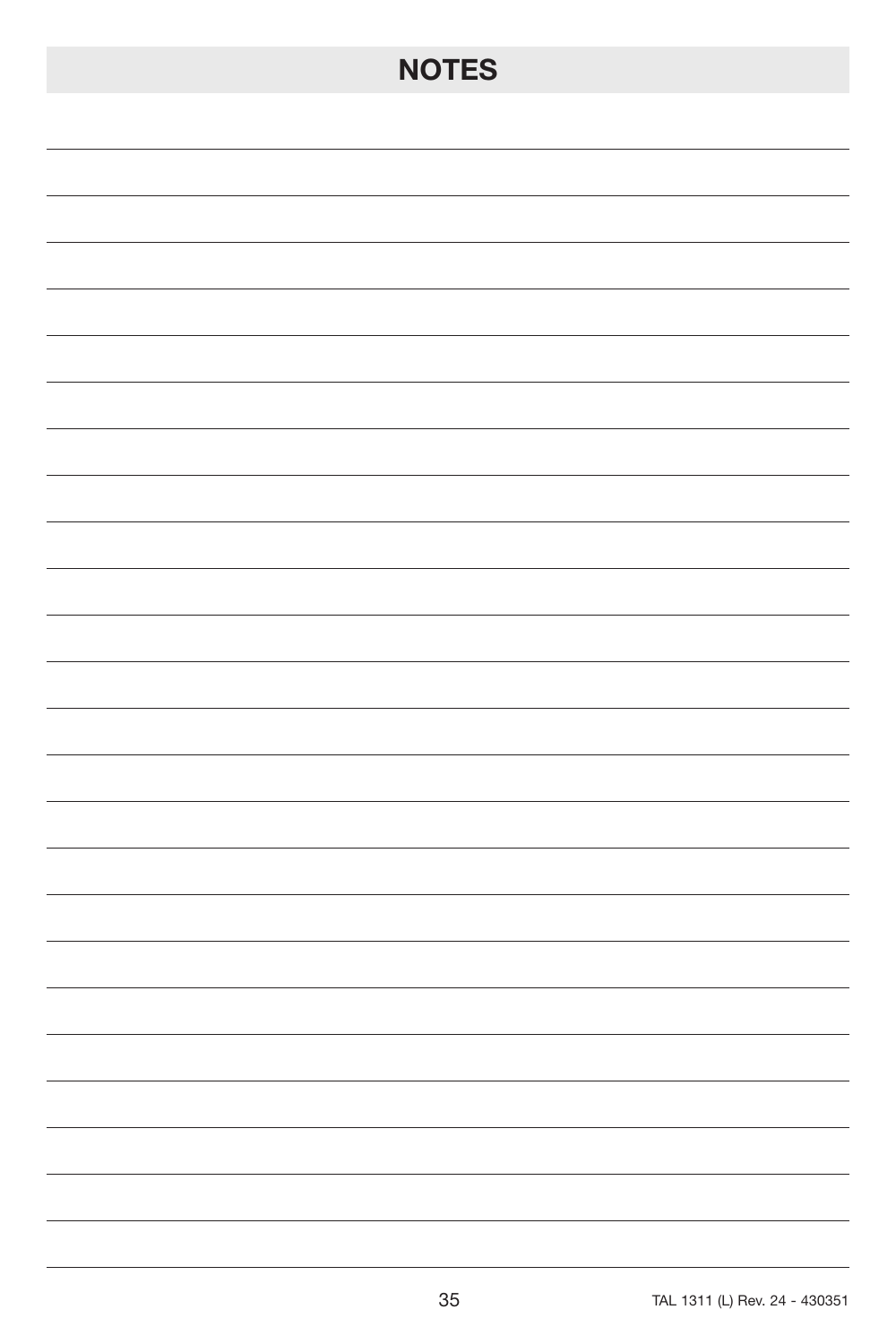# **NOTES**